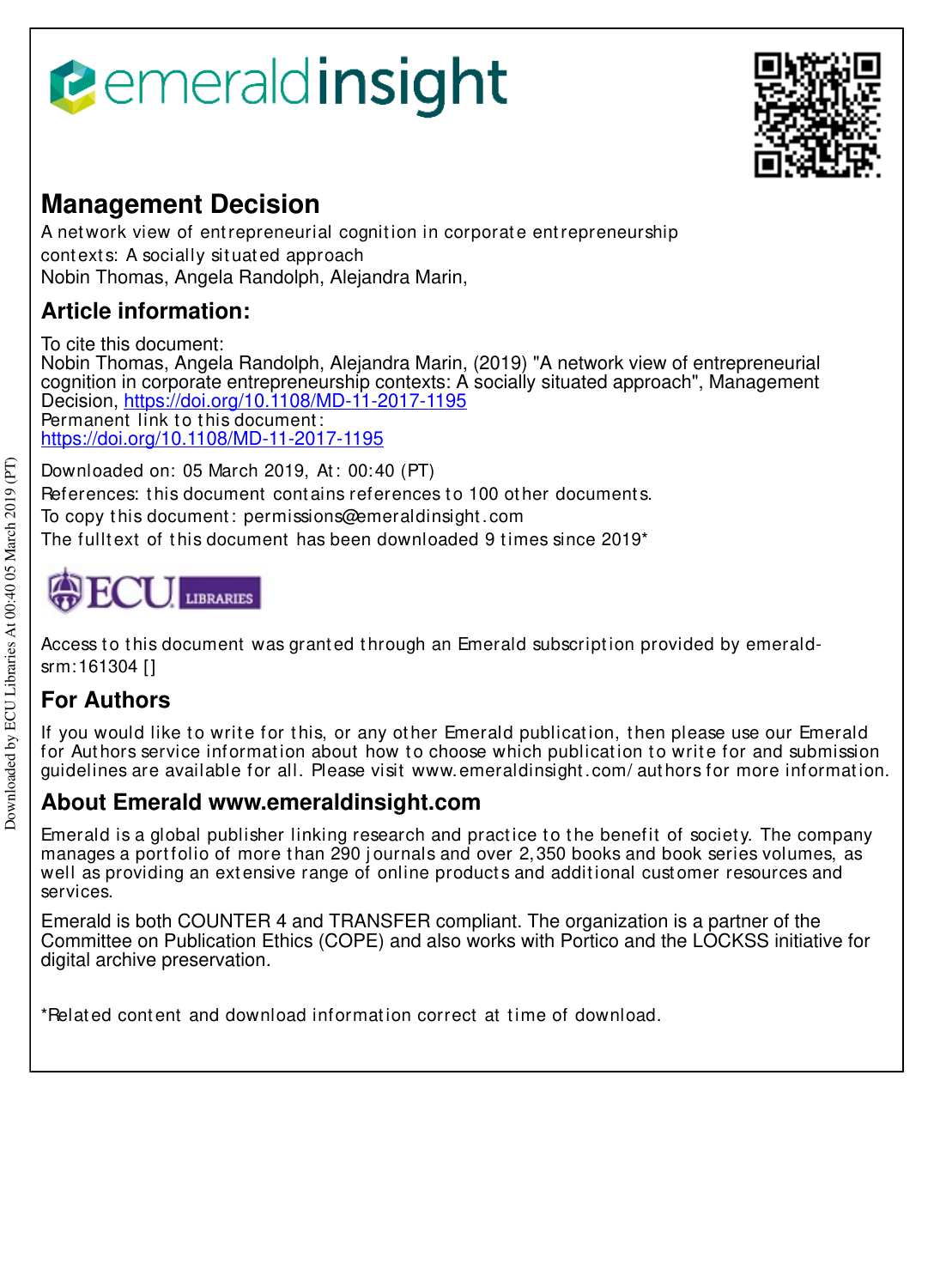# emeraldinsight



## **Management Decision**

A network view of entrepreneurial cognition in corporate entrepreneurship contexts: A socially situated approach Nobin Thomas, Angela Randolph, Alejandra Marin,

## **Article information:**

To cite this document:

Nobin Thomas, Angela Randolph, Alejandra Marin, (2019) "A network view of entrepreneurial cognition in corporate entrepreneurship contexts: A socially situated approach", Management Decision, https://doi.org/10.1108/MD-11-2017-1195 Permanent link to this document: https://doi.org/10.1108/MD-11-2017-1195

Downloaded on: 05 March 2019, At : 00:40 (PT) References: this document contains references to 100 other documents. To copy t his document : permissions@emeraldinsight .com The fulltext of this document has been downloaded 9 times since  $2019<sup>*</sup>$ 

## **ECU** LIBRARIES

Access to this document was granted through an Emerald subscription provided by emeraldsrm:161304 []

## **For Authors**

If you would like to write for this, or any other Emerald publication, then please use our Emerald for Authors service information about how to choose which publication to write for and submission guidelines are available for all. Please visit www.emeraldinsight.com/ authors for more information.

### **About Emerald www.emeraldinsight.com**

Emerald is a global publisher linking research and practice to the benefit of society. The company manages a portfolio of more than 290 journals and over 2,350 books and book series volumes, as well as providing an extensive range of online products and additional customer resources and services.

Emerald is both COUNTER 4 and TRANSFER compliant. The organization is a partner of the Committee on Publication Ethics (COPE) and also works with Portico and the LOCKSS initiative for digital archive preservation.

\*Related content and download information correct at time of download.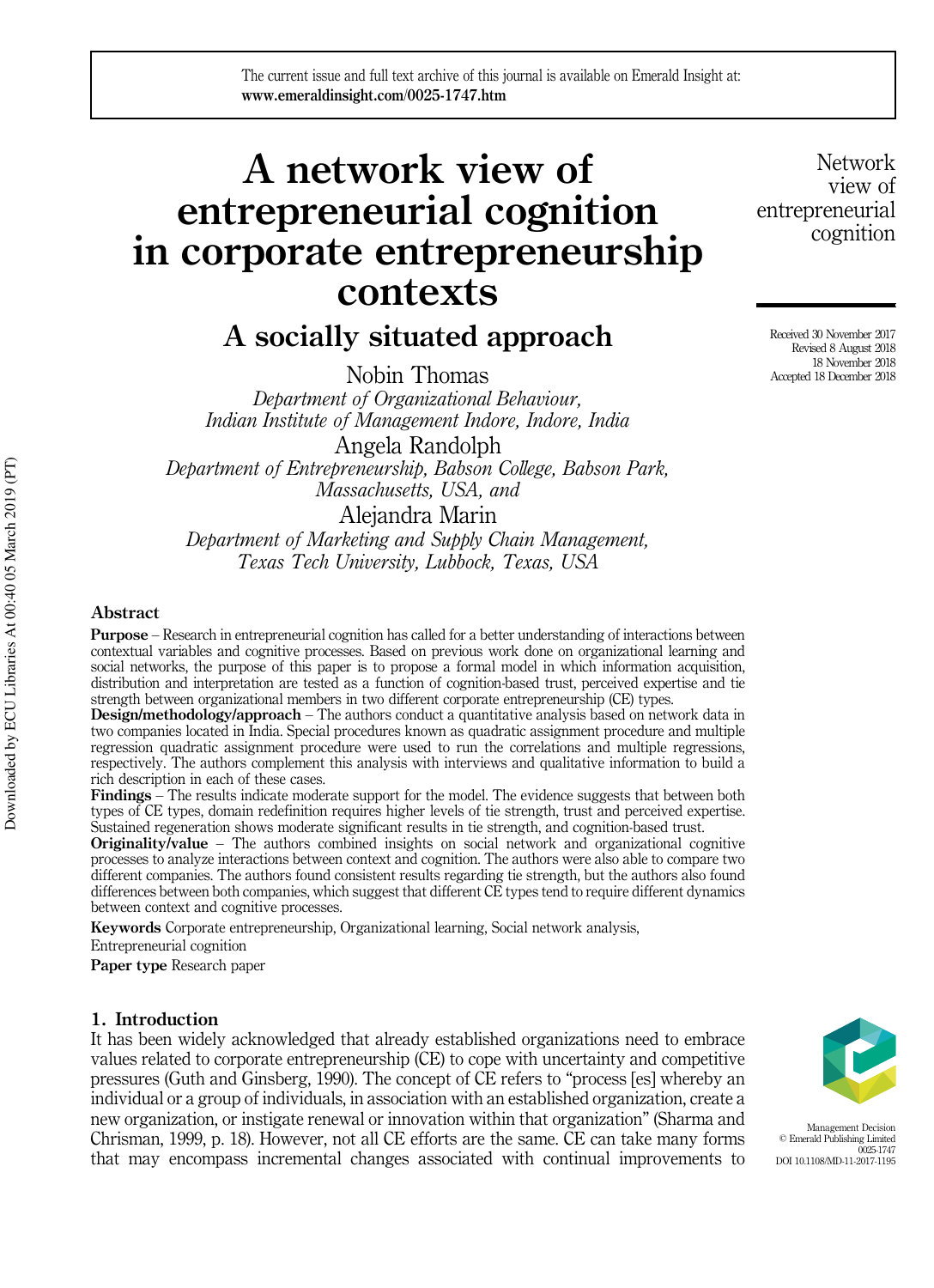The current issue and full text archive of this journal is available on Emerald Insight at: www.emeraldinsight.com/0025-1747.htm

## A network view of entrepreneurial cognition in corporate entrepreneurship contexts

### A socially situated approach

Nobin Thomas *Department of Organizational Behaviour, Indian Institute of Management Indore, Indore, India*

Angela Randolph *Department of Entrepreneurship, Babson College, Babson Park, Massachusetts, USA, and*

Alejandra Marin

*Department of Marketing and Supply Chain Management, Texas Tech University, Lubbock, Texas, USA*

#### Abstract

Purpose – Research in entrepreneurial cognition has called for a better understanding of interactions between contextual variables and cognitive processes. Based on previous work done on organizational learning and social networks, the purpose of this paper is to propose a formal model in which information acquisition, distribution and interpretation are tested as a function of cognition-based trust, perceived expertise and tie strength between organizational members in two different corporate entrepreneurship (CE) types.

**Design/methodology/approach** – The authors conduct a quantitative analysis based on network data in two companies located in India. Special procedures known as quadratic assignment procedure and multiple regression quadratic assignment procedure were used to run the correlations and multiple regressions, respectively. The authors complement this analysis with interviews and qualitative information to build a rich description in each of these cases.

Findings – The results indicate moderate support for the model. The evidence suggests that between both types of CE types, domain redefinition requires higher levels of tie strength, trust and perceived expertise. Sustained regeneration shows moderate significant results in tie strength, and cognition-based trust.

Originality/value – The authors combined insights on social network and organizational cognitive processes to analyze interactions between context and cognition. The authors were also able to compare two different companies. The authors found consistent results regarding tie strength, but the authors also found differences between both companies, which suggest that different CE types tend to require different dynamics between context and cognitive processes.

Keywords Corporate entrepreneurship, Organizational learning, Social network analysis, Entrepreneurial cognition

Paper type Research paper

#### 1. Introduction

It has been widely acknowledged that already established organizations need to embrace values related to corporate entrepreneurship (CE) to cope with uncertainty and competitive pressures (Guth and Ginsberg, 1990). The concept of CE refers to "process [es] whereby an individual or a group of individuals, in association with an established organization, create a new organization, or instigate renewal or innovation within that organization" (Sharma and Chrisman, 1999, p. 18). However, not all CE efforts are the same. CE can take many forms that may encompass incremental changes associated with continual improvements to



Management Decision © Emerald Publishing Limited 0025-1747 DOI 10.1108/MD-11-2017-1195

entrepreneurial

18 November 2018 Accepted 18 December 2018

Network view of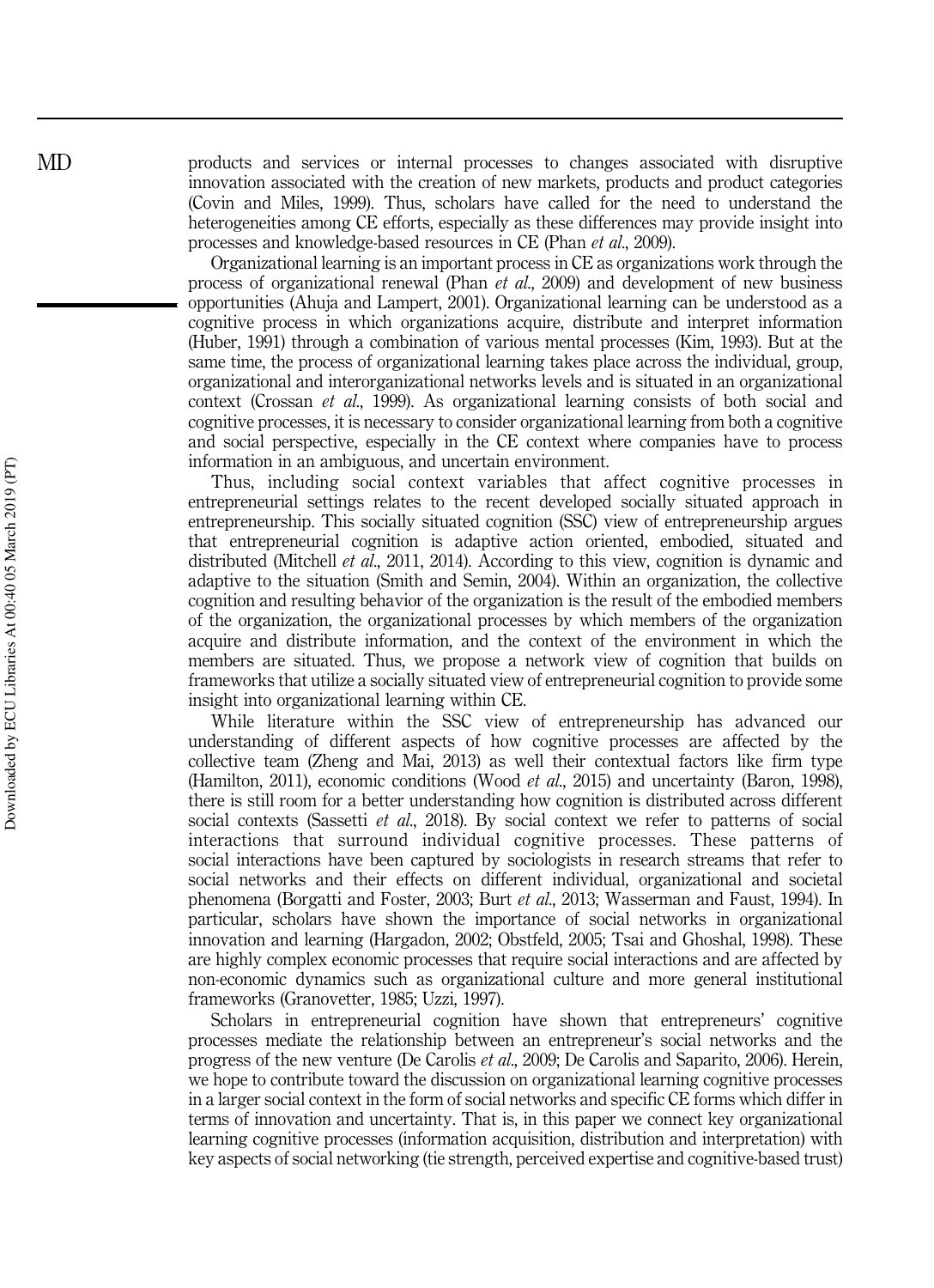products and services or internal processes to changes associated with disruptive innovation associated with the creation of new markets, products and product categories (Covin and Miles, 1999). Thus, scholars have called for the need to understand the heterogeneities among CE efforts, especially as these differences may provide insight into processes and knowledge-based resources in CE (Phan *et al*., 2009).

Organizational learning is an important process in CE as organizations work through the process of organizational renewal (Phan *et al*., 2009) and development of new business opportunities (Ahuja and Lampert, 2001). Organizational learning can be understood as a cognitive process in which organizations acquire, distribute and interpret information (Huber, 1991) through a combination of various mental processes (Kim, 1993). But at the same time, the process of organizational learning takes place across the individual, group, organizational and interorganizational networks levels and is situated in an organizational context (Crossan *et al*., 1999). As organizational learning consists of both social and cognitive processes, it is necessary to consider organizational learning from both a cognitive and social perspective, especially in the CE context where companies have to process information in an ambiguous, and uncertain environment.

Thus, including social context variables that affect cognitive processes in entrepreneurial settings relates to the recent developed socially situated approach in entrepreneurship. This socially situated cognition (SSC) view of entrepreneurship argues that entrepreneurial cognition is adaptive action oriented, embodied, situated and distributed (Mitchell *et al*., 2011, 2014). According to this view, cognition is dynamic and adaptive to the situation (Smith and Semin, 2004). Within an organization, the collective cognition and resulting behavior of the organization is the result of the embodied members of the organization, the organizational processes by which members of the organization acquire and distribute information, and the context of the environment in which the members are situated. Thus, we propose a network view of cognition that builds on frameworks that utilize a socially situated view of entrepreneurial cognition to provide some insight into organizational learning within CE.

While literature within the SSC view of entrepreneurship has advanced our understanding of different aspects of how cognitive processes are affected by the collective team (Zheng and Mai, 2013) as well their contextual factors like firm type (Hamilton, 2011), economic conditions (Wood *et al*., 2015) and uncertainty (Baron, 1998), there is still room for a better understanding how cognition is distributed across different social contexts (Sassetti *et al*., 2018). By social context we refer to patterns of social interactions that surround individual cognitive processes. These patterns of social interactions have been captured by sociologists in research streams that refer to social networks and their effects on different individual, organizational and societal phenomena (Borgatti and Foster, 2003; Burt *et al*., 2013; Wasserman and Faust, 1994). In particular, scholars have shown the importance of social networks in organizational innovation and learning (Hargadon, 2002; Obstfeld, 2005; Tsai and Ghoshal, 1998). These are highly complex economic processes that require social interactions and are affected by non-economic dynamics such as organizational culture and more general institutional frameworks (Granovetter, 1985; Uzzi, 1997).

Scholars in entrepreneurial cognition have shown that entrepreneurs' cognitive processes mediate the relationship between an entrepreneur's social networks and the progress of the new venture (De Carolis *et al*., 2009; De Carolis and Saparito, 2006). Herein, we hope to contribute toward the discussion on organizational learning cognitive processes in a larger social context in the form of social networks and specific CE forms which differ in terms of innovation and uncertainty. That is, in this paper we connect key organizational learning cognitive processes (information acquisition, distribution and interpretation) with key aspects of social networking (tie strength, perceived expertise and cognitive-based trust)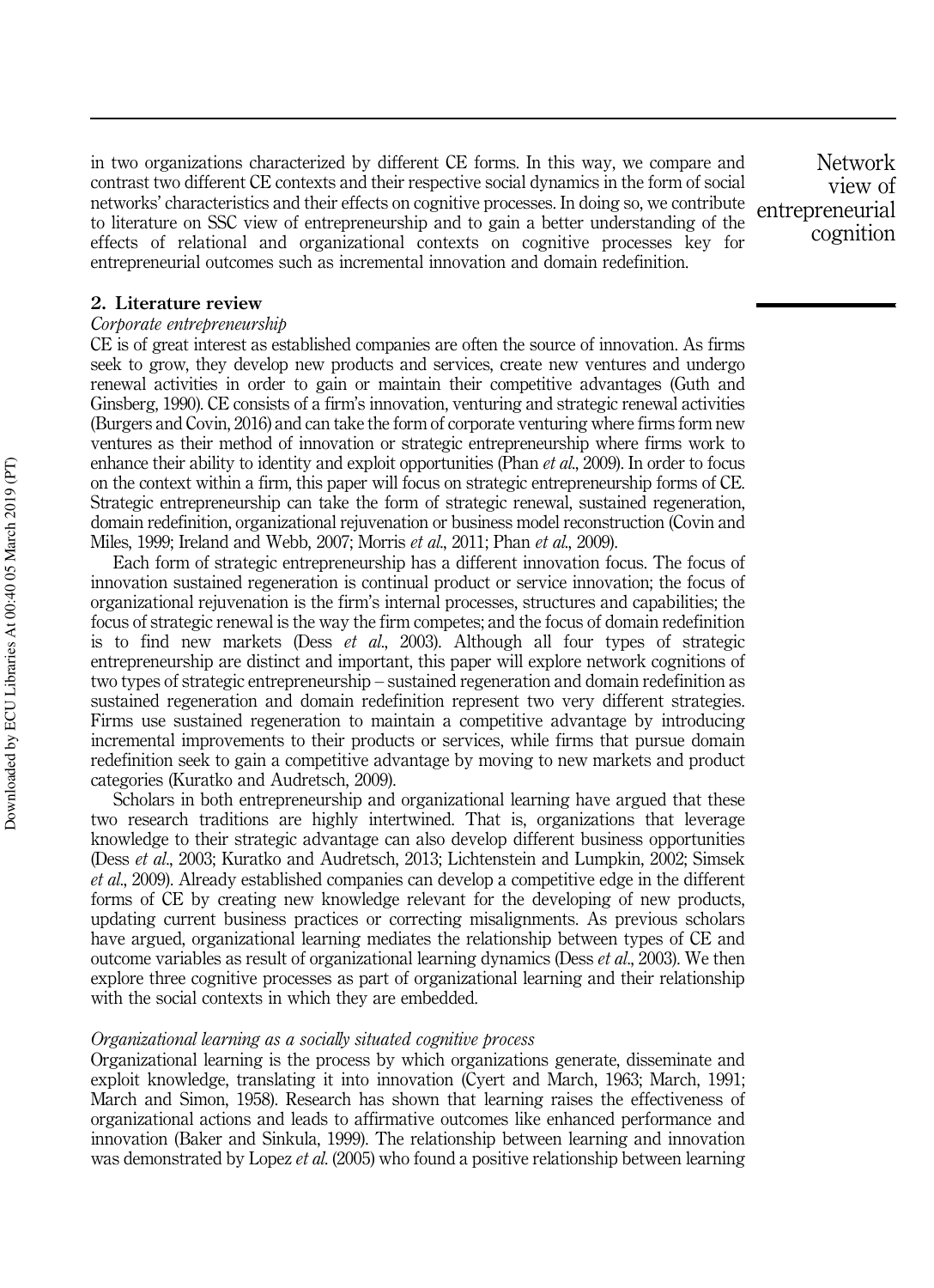in two organizations characterized by different CE forms. In this way, we compare and contrast two different CE contexts and their respective social dynamics in the form of social networks' characteristics and their effects on cognitive processes. In doing so, we contribute to literature on SSC view of entrepreneurship and to gain a better understanding of the effects of relational and organizational contexts on cognitive processes key for entrepreneurial outcomes such as incremental innovation and domain redefinition.

Network view of entrepreneurial cognition

#### 2. Literature review

#### *Corporate entrepreneurship*

CE is of great interest as established companies are often the source of innovation. As firms seek to grow, they develop new products and services, create new ventures and undergo renewal activities in order to gain or maintain their competitive advantages (Guth and Ginsberg, 1990). CE consists of a firm's innovation, venturing and strategic renewal activities (Burgers and Covin, 2016) and can take the form of corporate venturing where firms form new ventures as their method of innovation or strategic entrepreneurship where firms work to enhance their ability to identity and exploit opportunities (Phan *et al*., 2009). In order to focus on the context within a firm, this paper will focus on strategic entrepreneurship forms of CE. Strategic entrepreneurship can take the form of strategic renewal, sustained regeneration, domain redefinition, organizational rejuvenation or business model reconstruction (Covin and Miles, 1999; Ireland and Webb, 2007; Morris *et al*., 2011; Phan *et al*., 2009).

Each form of strategic entrepreneurship has a different innovation focus. The focus of innovation sustained regeneration is continual product or service innovation; the focus of organizational rejuvenation is the firm's internal processes, structures and capabilities; the focus of strategic renewal is the way the firm competes; and the focus of domain redefinition is to find new markets (Dess *et al*., 2003). Although all four types of strategic entrepreneurship are distinct and important, this paper will explore network cognitions of two types of strategic entrepreneurship – sustained regeneration and domain redefinition as sustained regeneration and domain redefinition represent two very different strategies. Firms use sustained regeneration to maintain a competitive advantage by introducing incremental improvements to their products or services, while firms that pursue domain redefinition seek to gain a competitive advantage by moving to new markets and product categories (Kuratko and Audretsch, 2009).

Scholars in both entrepreneurship and organizational learning have argued that these two research traditions are highly intertwined. That is, organizations that leverage knowledge to their strategic advantage can also develop different business opportunities (Dess *et al*., 2003; Kuratko and Audretsch, 2013; Lichtenstein and Lumpkin, 2002; Simsek *et al*., 2009). Already established companies can develop a competitive edge in the different forms of CE by creating new knowledge relevant for the developing of new products, updating current business practices or correcting misalignments. As previous scholars have argued, organizational learning mediates the relationship between types of CE and outcome variables as result of organizational learning dynamics (Dess *et al*., 2003). We then explore three cognitive processes as part of organizational learning and their relationship with the social contexts in which they are embedded.

#### *Organizational learning as a socially situated cognitive process*

Organizational learning is the process by which organizations generate, disseminate and exploit knowledge, translating it into innovation (Cyert and March, 1963; March, 1991; March and Simon, 1958). Research has shown that learning raises the effectiveness of organizational actions and leads to affirmative outcomes like enhanced performance and innovation (Baker and Sinkula, 1999). The relationship between learning and innovation was demonstrated by Lopez *et al*. (2005) who found a positive relationship between learning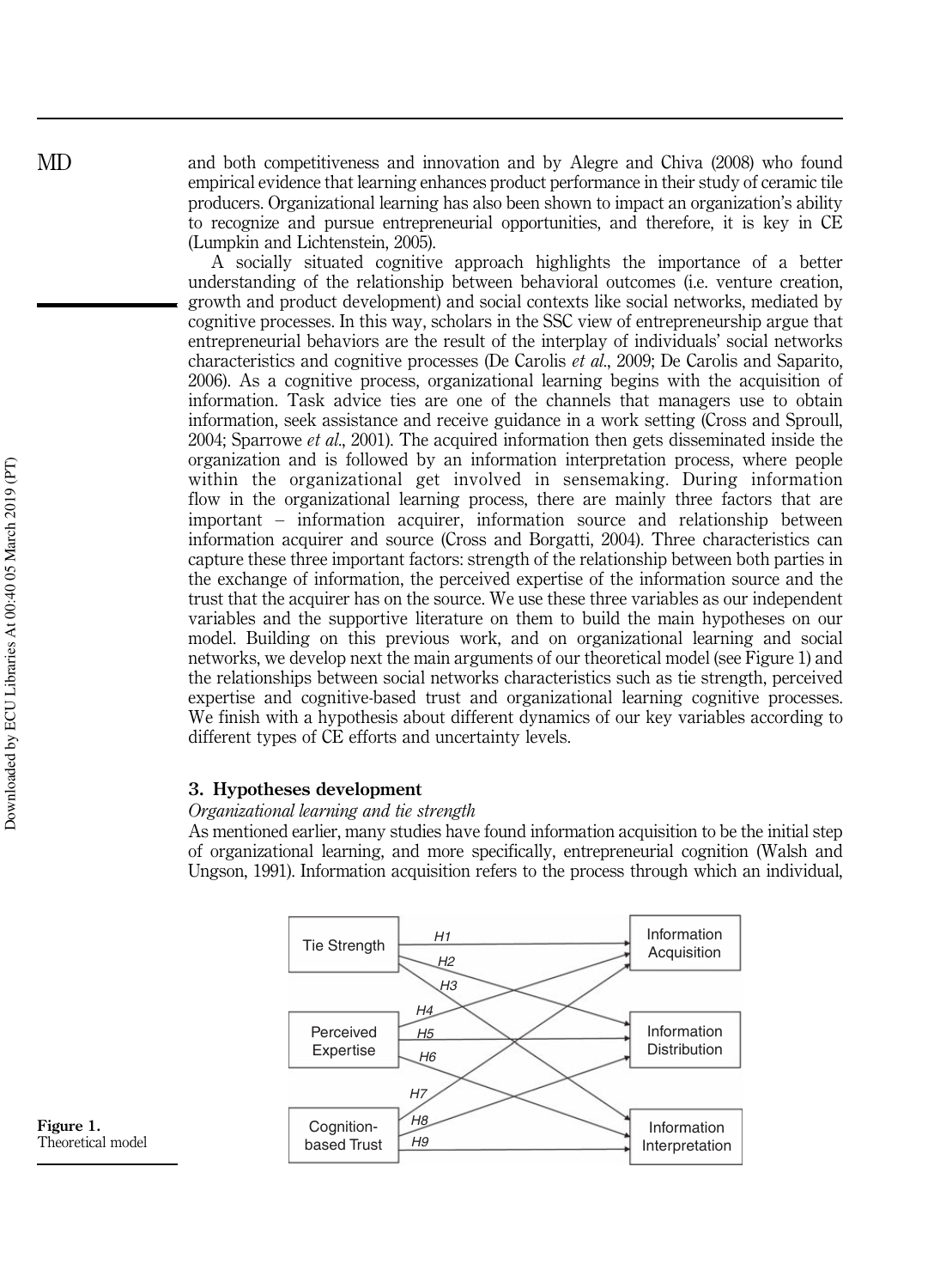and both competitiveness and innovation and by Alegre and Chiva (2008) who found empirical evidence that learning enhances product performance in their study of ceramic tile producers. Organizational learning has also been shown to impact an organization's ability to recognize and pursue entrepreneurial opportunities, and therefore, it is key in CE (Lumpkin and Lichtenstein, 2005).

A socially situated cognitive approach highlights the importance of a better understanding of the relationship between behavioral outcomes (i.e. venture creation, growth and product development) and social contexts like social networks, mediated by cognitive processes. In this way, scholars in the SSC view of entrepreneurship argue that entrepreneurial behaviors are the result of the interplay of individuals' social networks characteristics and cognitive processes (De Carolis *et al*., 2009; De Carolis and Saparito, 2006). As a cognitive process, organizational learning begins with the acquisition of information. Task advice ties are one of the channels that managers use to obtain information, seek assistance and receive guidance in a work setting (Cross and Sproull, 2004; Sparrowe *et al*., 2001). The acquired information then gets disseminated inside the organization and is followed by an information interpretation process, where people within the organizational get involved in sensemaking. During information flow in the organizational learning process, there are mainly three factors that are important – information acquirer, information source and relationship between information acquirer and source (Cross and Borgatti, 2004). Three characteristics can capture these three important factors: strength of the relationship between both parties in the exchange of information, the perceived expertise of the information source and the trust that the acquirer has on the source. We use these three variables as our independent variables and the supportive literature on them to build the main hypotheses on our model. Building on this previous work, and on organizational learning and social networks, we develop next the main arguments of our theoretical model (see Figure 1) and the relationships between social networks characteristics such as tie strength, perceived expertise and cognitive-based trust and organizational learning cognitive processes. We finish with a hypothesis about different dynamics of our key variables according to different types of CE efforts and uncertainty levels.

#### 3. Hypotheses development

#### *Organizational learning and tie strength*

As mentioned earlier, many studies have found information acquisition to be the initial step of organizational learning, and more specifically, entrepreneurial cognition (Walsh and Ungson, 1991). Information acquisition refers to the process through which an individual,



Figure 1. Theoretical model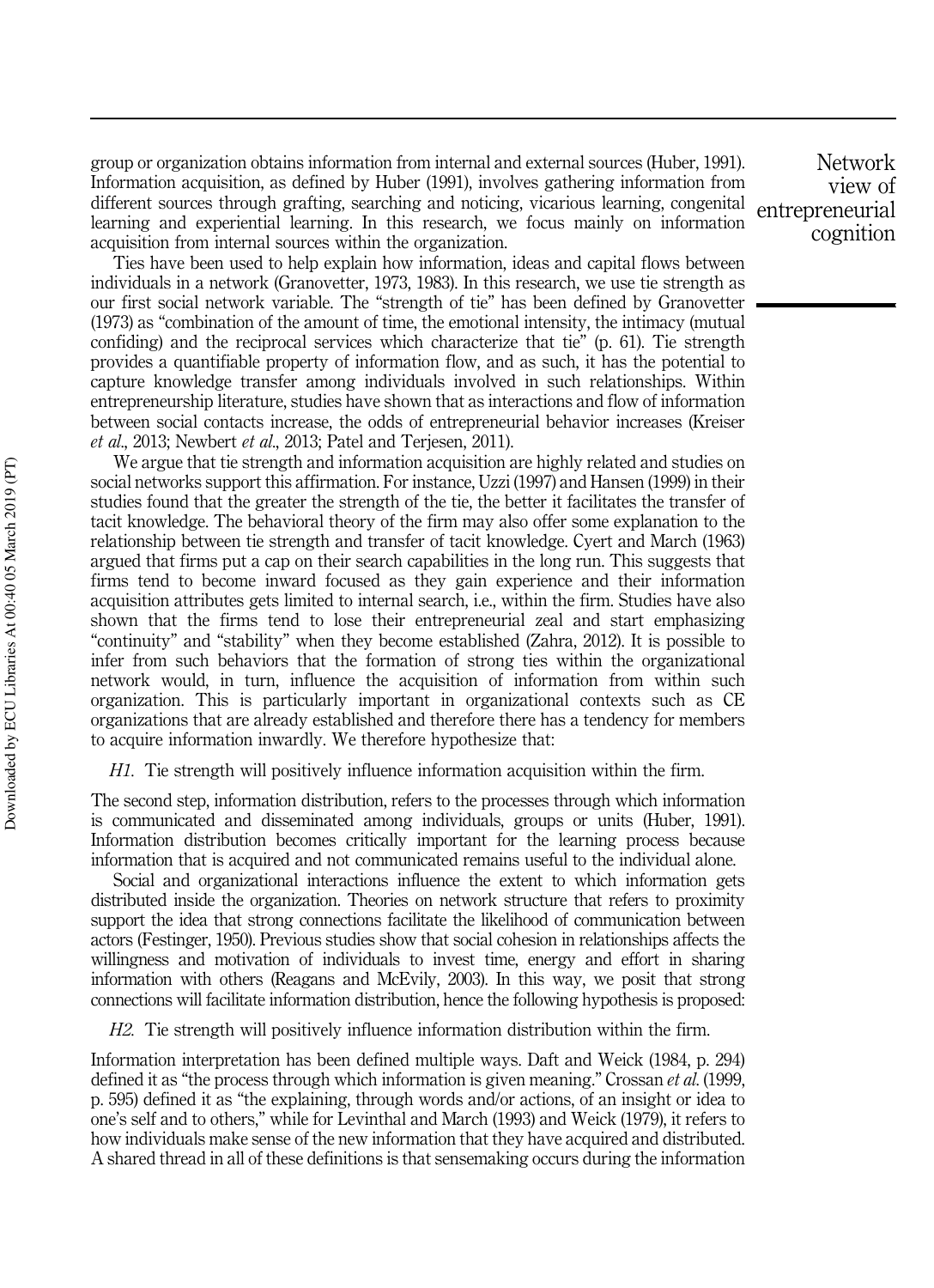group or organization obtains information from internal and external sources (Huber, 1991). Information acquisition, as defined by Huber (1991), involves gathering information from different sources through grafting, searching and noticing, vicarious learning, congenital learning and experiential learning. In this research, we focus mainly on information acquisition from internal sources within the organization.

Ties have been used to help explain how information, ideas and capital flows between individuals in a network (Granovetter, 1973, 1983). In this research, we use tie strength as our first social network variable. The "strength of tie" has been defined by Granovetter (1973) as "combination of the amount of time, the emotional intensity, the intimacy (mutual confiding) and the reciprocal services which characterize that tie" (p. 61). Tie strength provides a quantifiable property of information flow, and as such, it has the potential to capture knowledge transfer among individuals involved in such relationships. Within entrepreneurship literature, studies have shown that as interactions and flow of information between social contacts increase, the odds of entrepreneurial behavior increases (Kreiser *et al*., 2013; Newbert *et al*., 2013; Patel and Terjesen, 2011).

We argue that tie strength and information acquisition are highly related and studies on social networks support this affirmation. For instance, Uzzi (1997) and Hansen (1999) in their studies found that the greater the strength of the tie, the better it facilitates the transfer of tacit knowledge. The behavioral theory of the firm may also offer some explanation to the relationship between tie strength and transfer of tacit knowledge. Cyert and March (1963) argued that firms put a cap on their search capabilities in the long run. This suggests that firms tend to become inward focused as they gain experience and their information acquisition attributes gets limited to internal search, i.e., within the firm. Studies have also shown that the firms tend to lose their entrepreneurial zeal and start emphasizing "continuity" and "stability" when they become established (Zahra, 2012). It is possible to infer from such behaviors that the formation of strong ties within the organizational network would, in turn, influence the acquisition of information from within such organization. This is particularly important in organizational contexts such as CE organizations that are already established and therefore there has a tendency for members to acquire information inwardly. We therefore hypothesize that:

*H1.* Tie strength will positively influence information acquisition within the firm.

The second step, information distribution, refers to the processes through which information is communicated and disseminated among individuals, groups or units (Huber, 1991). Information distribution becomes critically important for the learning process because information that is acquired and not communicated remains useful to the individual alone.

Social and organizational interactions influence the extent to which information gets distributed inside the organization. Theories on network structure that refers to proximity support the idea that strong connections facilitate the likelihood of communication between actors (Festinger, 1950). Previous studies show that social cohesion in relationships affects the willingness and motivation of individuals to invest time, energy and effort in sharing information with others (Reagans and McEvily, 2003). In this way, we posit that strong connections will facilitate information distribution, hence the following hypothesis is proposed:

*H2.* Tie strength will positively influence information distribution within the firm.

Information interpretation has been defined multiple ways. Daft and Weick (1984, p. 294) defined it as "the process through which information is given meaning." Crossan *et al*. (1999, p. 595) defined it as "the explaining, through words and/or actions, of an insight or idea to one's self and to others," while for Levinthal and March (1993) and Weick (1979), it refers to how individuals make sense of the new information that they have acquired and distributed. A shared thread in all of these definitions is that sensemaking occurs during the information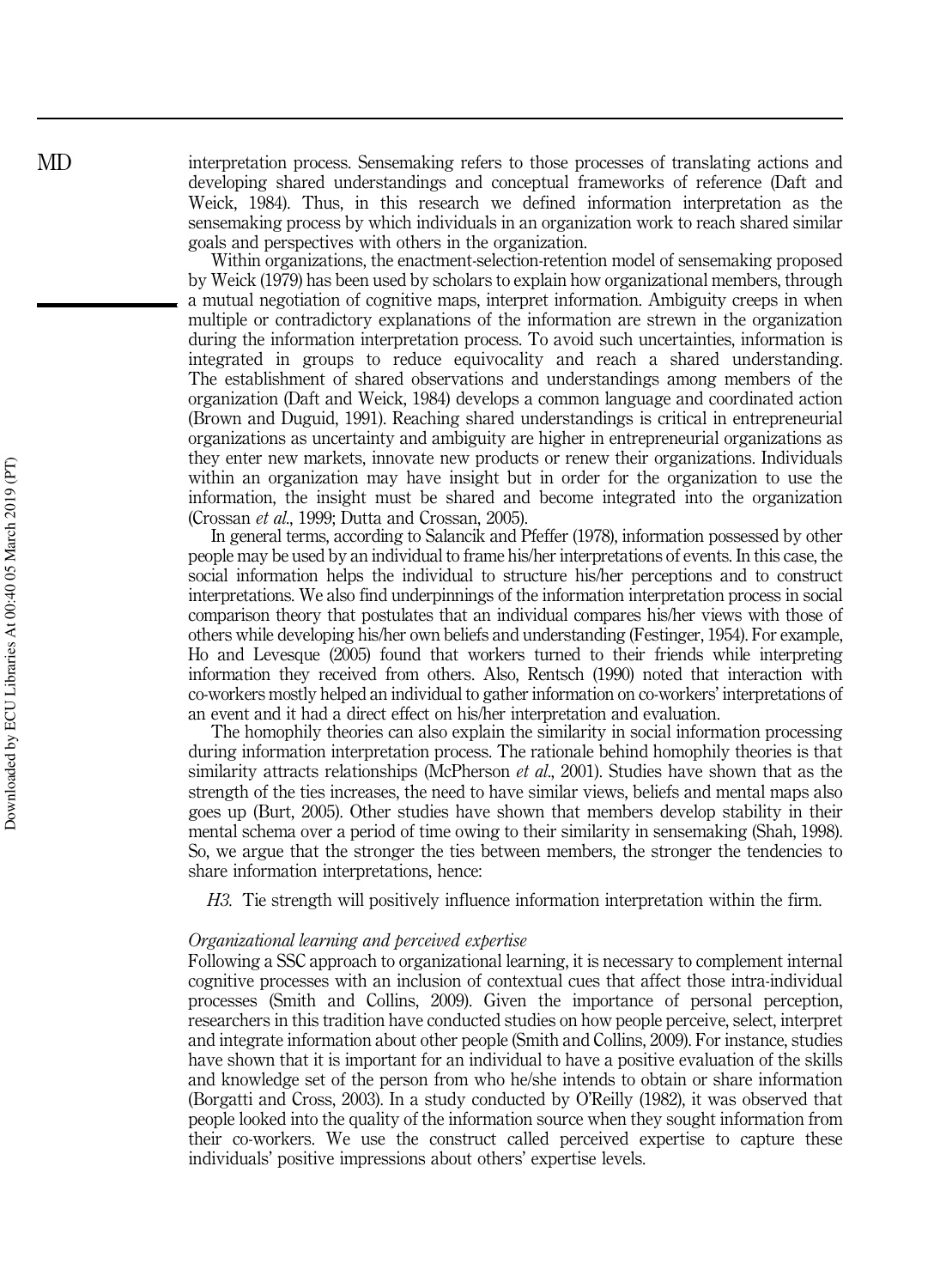interpretation process. Sensemaking refers to those processes of translating actions and developing shared understandings and conceptual frameworks of reference (Daft and Weick, 1984). Thus, in this research we defined information interpretation as the sensemaking process by which individuals in an organization work to reach shared similar goals and perspectives with others in the organization.

Within organizations, the enactment-selection-retention model of sensemaking proposed by Weick (1979) has been used by scholars to explain how organizational members, through a mutual negotiation of cognitive maps, interpret information. Ambiguity creeps in when multiple or contradictory explanations of the information are strewn in the organization during the information interpretation process. To avoid such uncertainties, information is integrated in groups to reduce equivocality and reach a shared understanding. The establishment of shared observations and understandings among members of the organization (Daft and Weick, 1984) develops a common language and coordinated action (Brown and Duguid, 1991). Reaching shared understandings is critical in entrepreneurial organizations as uncertainty and ambiguity are higher in entrepreneurial organizations as they enter new markets, innovate new products or renew their organizations. Individuals within an organization may have insight but in order for the organization to use the information, the insight must be shared and become integrated into the organization (Crossan *et al*., 1999; Dutta and Crossan, 2005).

In general terms, according to Salancik and Pfeffer (1978), information possessed by other people may be used by an individual to frame his/her interpretations of events. In this case, the social information helps the individual to structure his/her perceptions and to construct interpretations. We also find underpinnings of the information interpretation process in social comparison theory that postulates that an individual compares his/her views with those of others while developing his/her own beliefs and understanding (Festinger, 1954). For example, Ho and Levesque (2005) found that workers turned to their friends while interpreting information they received from others. Also, Rentsch (1990) noted that interaction with co-workers mostly helped an individual to gather information on co-workers' interpretations of an event and it had a direct effect on his/her interpretation and evaluation.

The homophily theories can also explain the similarity in social information processing during information interpretation process. The rationale behind homophily theories is that similarity attracts relationships (McPherson *et al*., 2001). Studies have shown that as the strength of the ties increases, the need to have similar views, beliefs and mental maps also goes up (Burt, 2005). Other studies have shown that members develop stability in their mental schema over a period of time owing to their similarity in sensemaking (Shah, 1998). So, we argue that the stronger the ties between members, the stronger the tendencies to share information interpretations, hence:

*H3.* Tie strength will positively influence information interpretation within the firm.

#### *Organizational learning and perceived expertise*

Following a SSC approach to organizational learning, it is necessary to complement internal cognitive processes with an inclusion of contextual cues that affect those intra-individual processes (Smith and Collins, 2009). Given the importance of personal perception, researchers in this tradition have conducted studies on how people perceive, select, interpret and integrate information about other people (Smith and Collins, 2009). For instance, studies have shown that it is important for an individual to have a positive evaluation of the skills and knowledge set of the person from who he/she intends to obtain or share information (Borgatti and Cross, 2003). In a study conducted by O'Reilly (1982), it was observed that people looked into the quality of the information source when they sought information from their co-workers. We use the construct called perceived expertise to capture these individuals' positive impressions about others' expertise levels.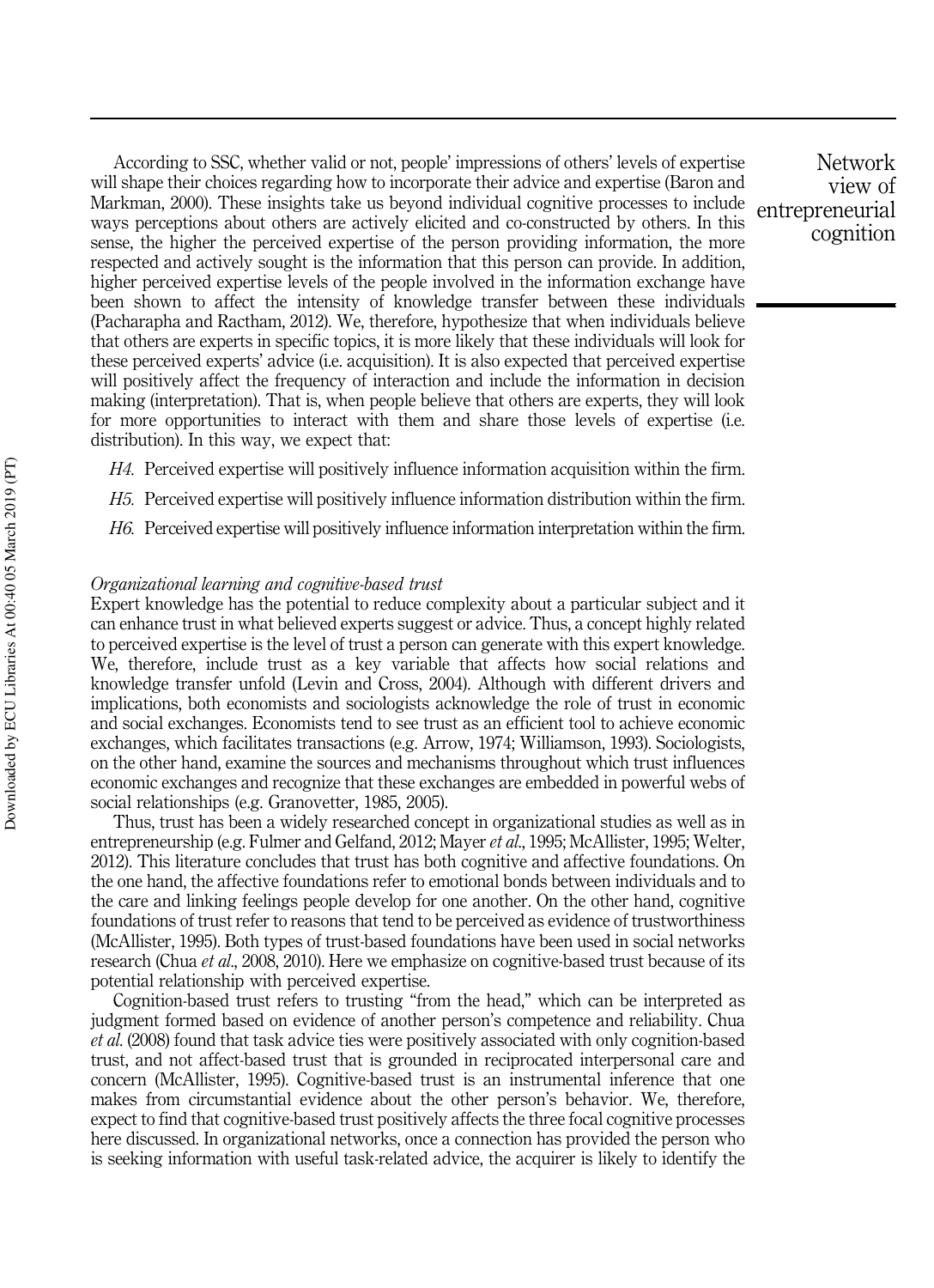According to SSC, whether valid or not, people' impressions of others' levels of expertise will shape their choices regarding how to incorporate their advice and expertise (Baron and Markman, 2000). These insights take us beyond individual cognitive processes to include ways perceptions about others are actively elicited and co-constructed by others. In this sense, the higher the perceived expertise of the person providing information, the more respected and actively sought is the information that this person can provide. In addition, higher perceived expertise levels of the people involved in the information exchange have been shown to affect the intensity of knowledge transfer between these individuals (Pacharapha and Ractham, 2012). We, therefore, hypothesize that when individuals believe that others are experts in specific topics, it is more likely that these individuals will look for these perceived experts' advice (i.e. acquisition). It is also expected that perceived expertise will positively affect the frequency of interaction and include the information in decision making (interpretation). That is, when people believe that others are experts, they will look for more opportunities to interact with them and share those levels of expertise (i.e. distribution). In this way, we expect that:

*H4.* Perceived expertise will positively influence information acquisition within the firm.

- *H5.* Perceived expertise will positively influence information distribution within the firm.
- *H6.* Perceived expertise will positively influence information interpretation within the firm.

#### *Organizational learning and cognitive-based trust*

Expert knowledge has the potential to reduce complexity about a particular subject and it can enhance trust in what believed experts suggest or advice. Thus, a concept highly related to perceived expertise is the level of trust a person can generate with this expert knowledge. We, therefore, include trust as a key variable that affects how social relations and knowledge transfer unfold (Levin and Cross, 2004). Although with different drivers and implications, both economists and sociologists acknowledge the role of trust in economic and social exchanges. Economists tend to see trust as an efficient tool to achieve economic exchanges, which facilitates transactions (e.g. Arrow, 1974; Williamson, 1993). Sociologists, on the other hand, examine the sources and mechanisms throughout which trust influences economic exchanges and recognize that these exchanges are embedded in powerful webs of social relationships (e.g. Granovetter, 1985, 2005).

Thus, trust has been a widely researched concept in organizational studies as well as in entrepreneurship (e.g. Fulmer and Gelfand, 2012; Mayer *et al*., 1995; McAllister, 1995; Welter, 2012). This literature concludes that trust has both cognitive and affective foundations. On the one hand, the affective foundations refer to emotional bonds between individuals and to the care and linking feelings people develop for one another. On the other hand, cognitive foundations of trust refer to reasons that tend to be perceived as evidence of trustworthiness (McAllister, 1995). Both types of trust-based foundations have been used in social networks research (Chua *et al*., 2008, 2010). Here we emphasize on cognitive-based trust because of its potential relationship with perceived expertise.

Cognition-based trust refers to trusting "from the head," which can be interpreted as judgment formed based on evidence of another person's competence and reliability. Chua *et al*. (2008) found that task advice ties were positively associated with only cognition-based trust, and not affect-based trust that is grounded in reciprocated interpersonal care and concern (McAllister, 1995). Cognitive-based trust is an instrumental inference that one makes from circumstantial evidence about the other person's behavior. We, therefore, expect to find that cognitive-based trust positively affects the three focal cognitive processes here discussed. In organizational networks, once a connection has provided the person who is seeking information with useful task-related advice, the acquirer is likely to identify the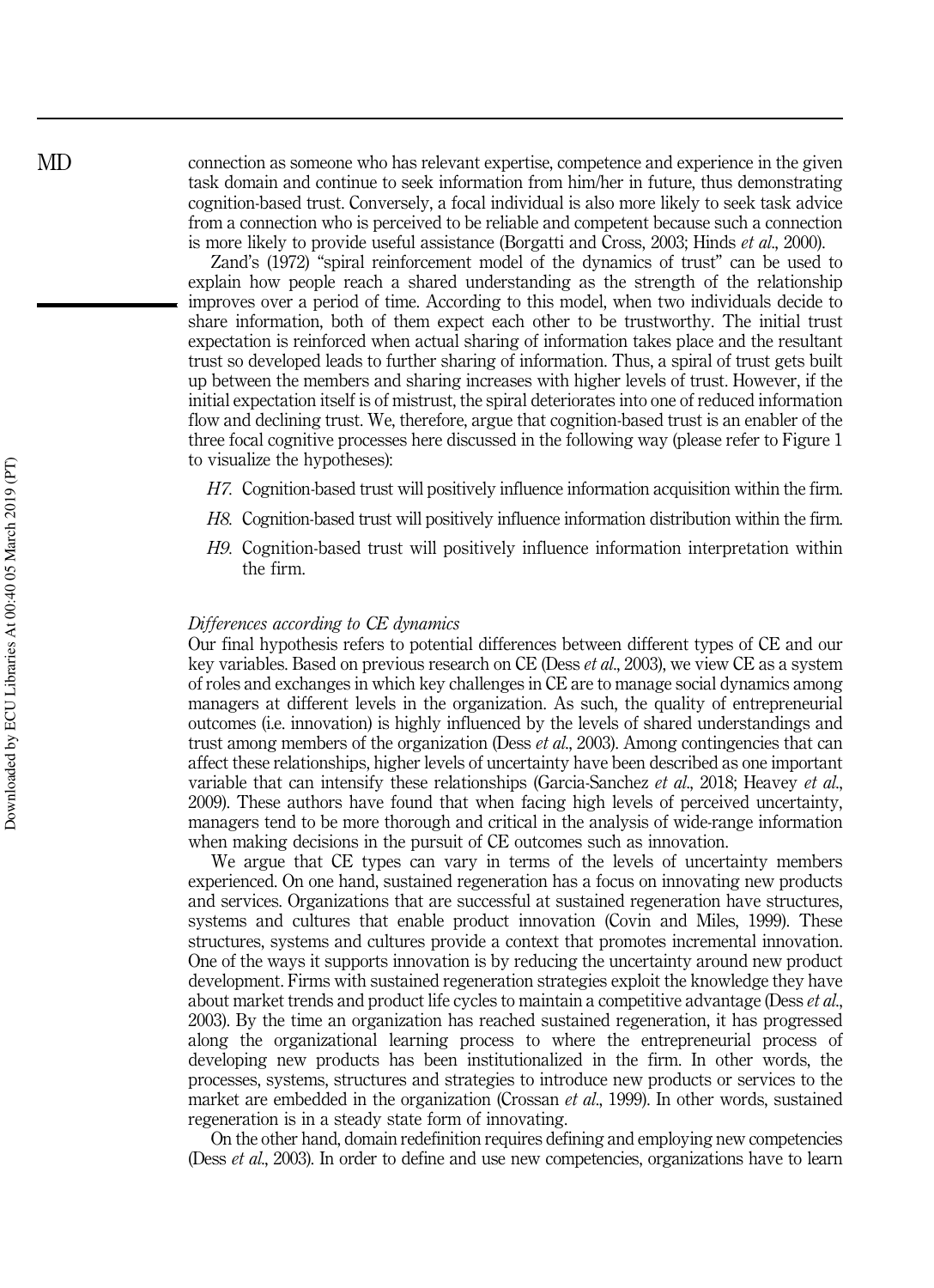connection as someone who has relevant expertise, competence and experience in the given task domain and continue to seek information from him/her in future, thus demonstrating cognition-based trust. Conversely, a focal individual is also more likely to seek task advice from a connection who is perceived to be reliable and competent because such a connection is more likely to provide useful assistance (Borgatti and Cross, 2003; Hinds *et al*., 2000).

Zand's (1972) "spiral reinforcement model of the dynamics of trust" can be used to explain how people reach a shared understanding as the strength of the relationship improves over a period of time. According to this model, when two individuals decide to share information, both of them expect each other to be trustworthy. The initial trust expectation is reinforced when actual sharing of information takes place and the resultant trust so developed leads to further sharing of information. Thus, a spiral of trust gets built up between the members and sharing increases with higher levels of trust. However, if the initial expectation itself is of mistrust, the spiral deteriorates into one of reduced information flow and declining trust. We, therefore, argue that cognition-based trust is an enabler of the three focal cognitive processes here discussed in the following way (please refer to Figure 1 to visualize the hypotheses):

- *H7.* Cognition-based trust will positively influence information acquisition within the firm.
- *H8.* Cognition-based trust will positively influence information distribution within the firm.
- *H9.* Cognition-based trust will positively influence information interpretation within the firm.

#### *Differences according to CE dynamics*

Our final hypothesis refers to potential differences between different types of CE and our key variables. Based on previous research on CE (Dess *et al*., 2003), we view CE as a system of roles and exchanges in which key challenges in CE are to manage social dynamics among managers at different levels in the organization. As such, the quality of entrepreneurial outcomes (i.e. innovation) is highly influenced by the levels of shared understandings and trust among members of the organization (Dess *et al*., 2003). Among contingencies that can affect these relationships, higher levels of uncertainty have been described as one important variable that can intensify these relationships (Garcia-Sanchez *et al*., 2018; Heavey *et al*., 2009). These authors have found that when facing high levels of perceived uncertainty, managers tend to be more thorough and critical in the analysis of wide-range information when making decisions in the pursuit of CE outcomes such as innovation.

We argue that CE types can vary in terms of the levels of uncertainty members experienced. On one hand, sustained regeneration has a focus on innovating new products and services. Organizations that are successful at sustained regeneration have structures, systems and cultures that enable product innovation (Covin and Miles, 1999). These structures, systems and cultures provide a context that promotes incremental innovation. One of the ways it supports innovation is by reducing the uncertainty around new product development. Firms with sustained regeneration strategies exploit the knowledge they have about market trends and product life cycles to maintain a competitive advantage (Dess *et al*., 2003). By the time an organization has reached sustained regeneration, it has progressed along the organizational learning process to where the entrepreneurial process of developing new products has been institutionalized in the firm. In other words, the processes, systems, structures and strategies to introduce new products or services to the market are embedded in the organization (Crossan *et al*., 1999). In other words, sustained regeneration is in a steady state form of innovating.

On the other hand, domain redefinition requires defining and employing new competencies (Dess *et al*., 2003). In order to define and use new competencies, organizations have to learn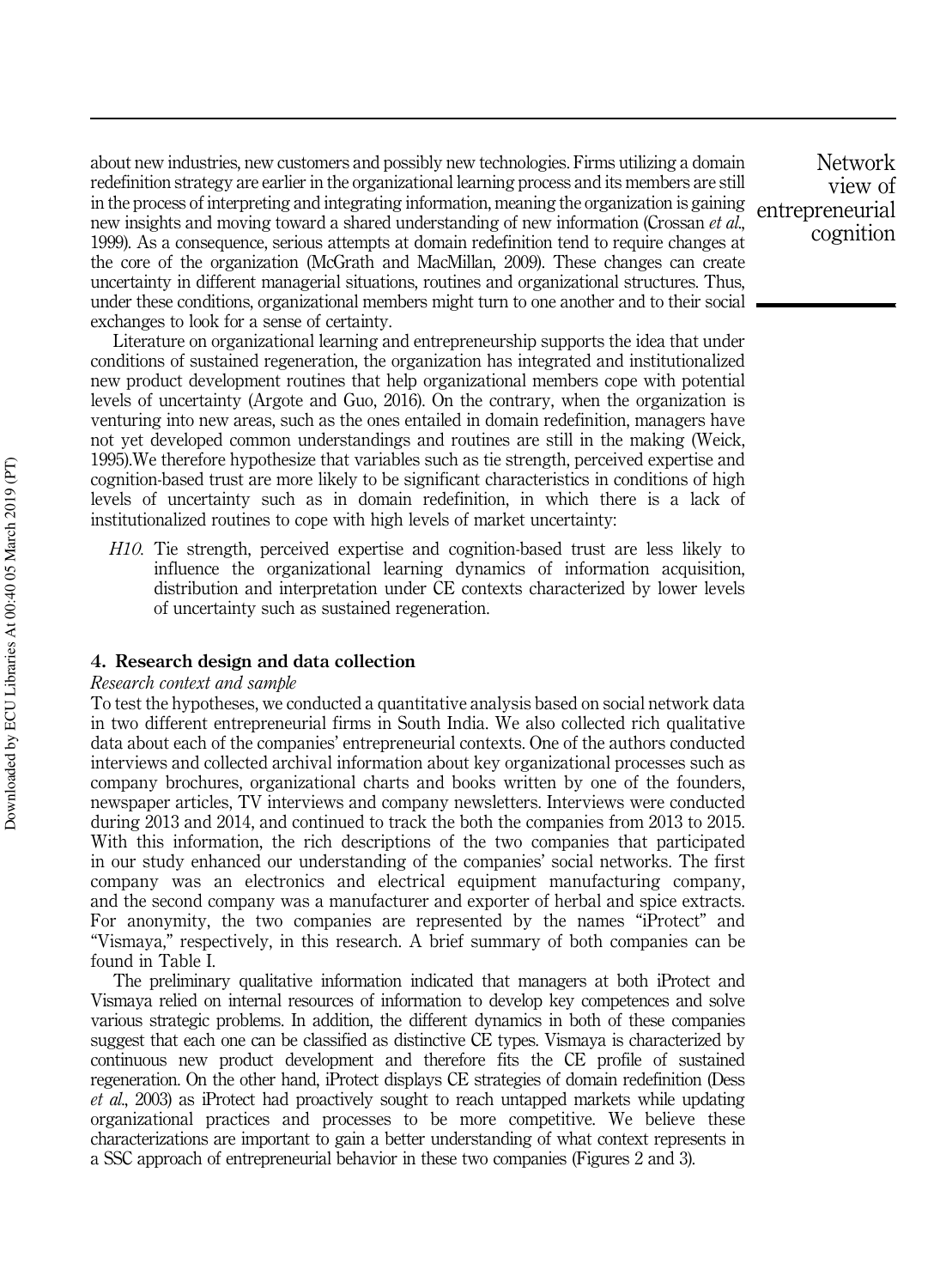about new industries, new customers and possibly new technologies. Firms utilizing a domain redefinition strategy are earlier in the organizational learning process and its members are still in the process of interpreting and integrating information, meaning the organization is gaining new insights and moving toward a shared understanding of new information (Crossan *et al*., 1999). As a consequence, serious attempts at domain redefinition tend to require changes at the core of the organization (McGrath and MacMillan, 2009). These changes can create uncertainty in different managerial situations, routines and organizational structures. Thus, under these conditions, organizational members might turn to one another and to their social exchanges to look for a sense of certainty.

Literature on organizational learning and entrepreneurship supports the idea that under conditions of sustained regeneration, the organization has integrated and institutionalized new product development routines that help organizational members cope with potential levels of uncertainty (Argote and Guo, 2016). On the contrary, when the organization is venturing into new areas, such as the ones entailed in domain redefinition, managers have not yet developed common understandings and routines are still in the making (Weick, 1995).We therefore hypothesize that variables such as tie strength, perceived expertise and cognition-based trust are more likely to be significant characteristics in conditions of high levels of uncertainty such as in domain redefinition, in which there is a lack of institutionalized routines to cope with high levels of market uncertainty:

*H10.* Tie strength, perceived expertise and cognition-based trust are less likely to influence the organizational learning dynamics of information acquisition, distribution and interpretation under CE contexts characterized by lower levels of uncertainty such as sustained regeneration.

#### 4. Research design and data collection

#### *Research context and sample*

To test the hypotheses, we conducted a quantitative analysis based on social network data in two different entrepreneurial firms in South India. We also collected rich qualitative data about each of the companies' entrepreneurial contexts. One of the authors conducted interviews and collected archival information about key organizational processes such as company brochures, organizational charts and books written by one of the founders, newspaper articles, TV interviews and company newsletters. Interviews were conducted during 2013 and 2014, and continued to track the both the companies from 2013 to 2015. With this information, the rich descriptions of the two companies that participated in our study enhanced our understanding of the companies' social networks. The first company was an electronics and electrical equipment manufacturing company, and the second company was a manufacturer and exporter of herbal and spice extracts. For anonymity, the two companies are represented by the names "iProtect" and "Vismaya," respectively, in this research. A brief summary of both companies can be found in Table I.

The preliminary qualitative information indicated that managers at both iProtect and Vismaya relied on internal resources of information to develop key competences and solve various strategic problems. In addition, the different dynamics in both of these companies suggest that each one can be classified as distinctive CE types. Vismaya is characterized by continuous new product development and therefore fits the CE profile of sustained regeneration. On the other hand, iProtect displays CE strategies of domain redefinition (Dess *et al*., 2003) as iProtect had proactively sought to reach untapped markets while updating organizational practices and processes to be more competitive. We believe these characterizations are important to gain a better understanding of what context represents in a SSC approach of entrepreneurial behavior in these two companies (Figures 2 and 3).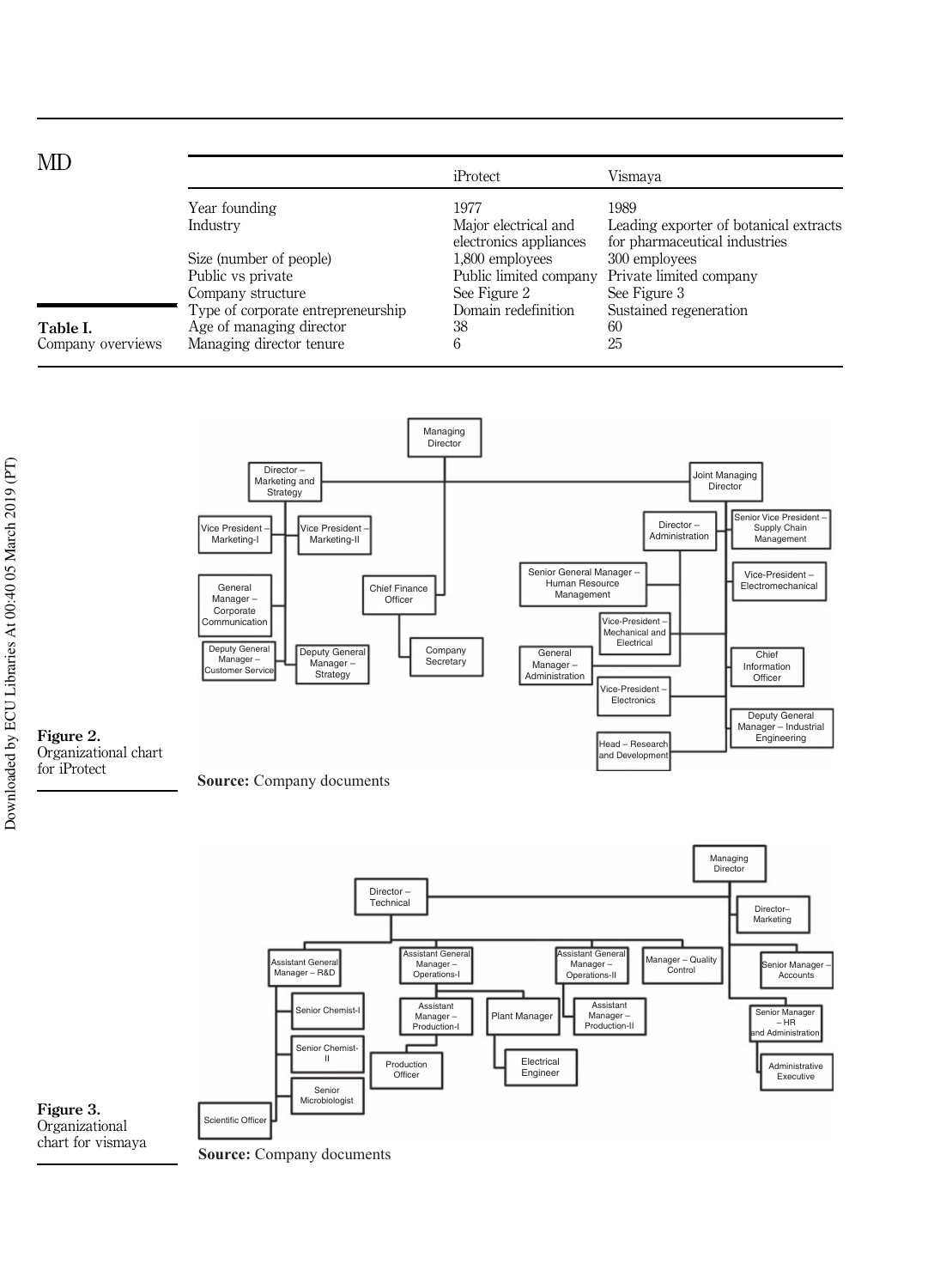| MD                |                                    | iProtect                                       | Vismaya                                                                 |
|-------------------|------------------------------------|------------------------------------------------|-------------------------------------------------------------------------|
|                   | Year founding                      | 1977                                           | 1989                                                                    |
|                   | Industry                           | Major electrical and<br>electronics appliances | Leading exporter of botanical extracts<br>for pharmaceutical industries |
|                   | Size (number of people)            | 1,800 employees                                | 300 employees                                                           |
|                   | Public vs private                  | Public limited company                         | Private limited company                                                 |
|                   | Company structure                  | See Figure 2                                   | See Figure 3                                                            |
|                   | Type of corporate entrepreneurship | Domain redefinition                            | Sustained regeneration                                                  |
| Table I.          | Age of managing director           | 38                                             | 60                                                                      |
| Company overviews | Managing director tenure           | 6                                              | 25                                                                      |





**Source:** Company documents



Figure 3. Organizational chart for vismaya

**Source:** Company documents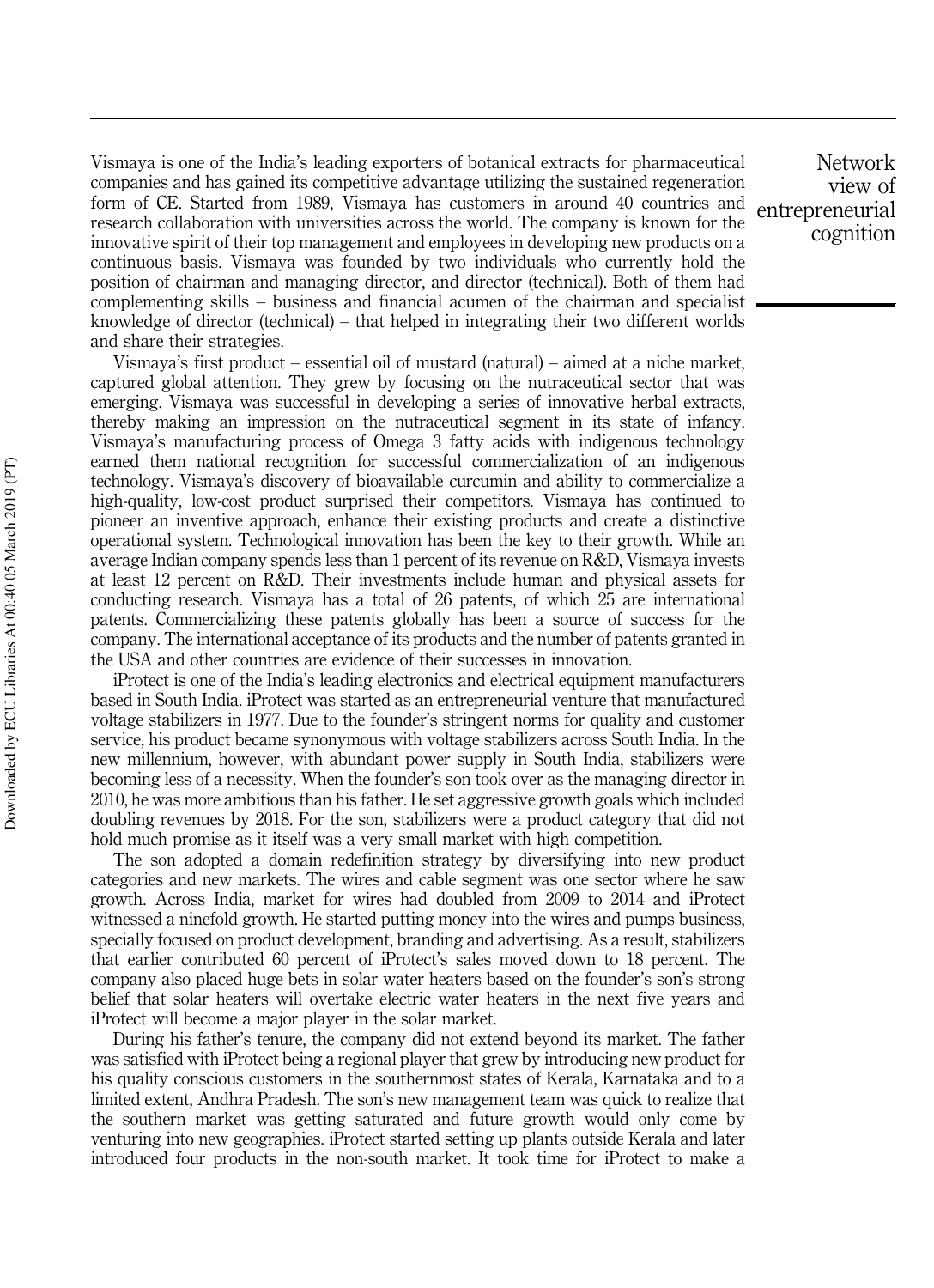Vismaya is one of the India's leading exporters of botanical extracts for pharmaceutical companies and has gained its competitive advantage utilizing the sustained regeneration form of CE. Started from 1989, Vismaya has customers in around 40 countries and research collaboration with universities across the world. The company is known for the innovative spirit of their top management and employees in developing new products on a continuous basis. Vismaya was founded by two individuals who currently hold the position of chairman and managing director, and director (technical). Both of them had complementing skills – business and financial acumen of the chairman and specialist knowledge of director (technical) – that helped in integrating their two different worlds and share their strategies.

Vismaya's first product – essential oil of mustard (natural) – aimed at a niche market, captured global attention. They grew by focusing on the nutraceutical sector that was emerging. Vismaya was successful in developing a series of innovative herbal extracts, thereby making an impression on the nutraceutical segment in its state of infancy. Vismaya's manufacturing process of Omega 3 fatty acids with indigenous technology earned them national recognition for successful commercialization of an indigenous technology. Vismaya's discovery of bioavailable curcumin and ability to commercialize a high-quality, low-cost product surprised their competitors. Vismaya has continued to pioneer an inventive approach, enhance their existing products and create a distinctive operational system. Technological innovation has been the key to their growth. While an average Indian company spends less than 1 percent of its revenue on R&D, Vismaya invests at least 12 percent on R&D. Their investments include human and physical assets for conducting research. Vismaya has a total of 26 patents, of which 25 are international patents. Commercializing these patents globally has been a source of success for the company. The international acceptance of its products and the number of patents granted in the USA and other countries are evidence of their successes in innovation.

iProtect is one of the India's leading electronics and electrical equipment manufacturers based in South India. iProtect was started as an entrepreneurial venture that manufactured voltage stabilizers in 1977. Due to the founder's stringent norms for quality and customer service, his product became synonymous with voltage stabilizers across South India. In the new millennium, however, with abundant power supply in South India, stabilizers were becoming less of a necessity. When the founder's son took over as the managing director in 2010, he was more ambitious than his father. He set aggressive growth goals which included doubling revenues by 2018. For the son, stabilizers were a product category that did not hold much promise as it itself was a very small market with high competition.

The son adopted a domain redefinition strategy by diversifying into new product categories and new markets. The wires and cable segment was one sector where he saw growth. Across India, market for wires had doubled from 2009 to 2014 and iProtect witnessed a ninefold growth. He started putting money into the wires and pumps business, specially focused on product development, branding and advertising. As a result, stabilizers that earlier contributed 60 percent of iProtect's sales moved down to 18 percent. The company also placed huge bets in solar water heaters based on the founder's son's strong belief that solar heaters will overtake electric water heaters in the next five years and iProtect will become a major player in the solar market.

During his father's tenure, the company did not extend beyond its market. The father was satisfied with iProtect being a regional player that grew by introducing new product for his quality conscious customers in the southernmost states of Kerala, Karnataka and to a limited extent, Andhra Pradesh. The son's new management team was quick to realize that the southern market was getting saturated and future growth would only come by venturing into new geographies. iProtect started setting up plants outside Kerala and later introduced four products in the non-south market. It took time for iProtect to make a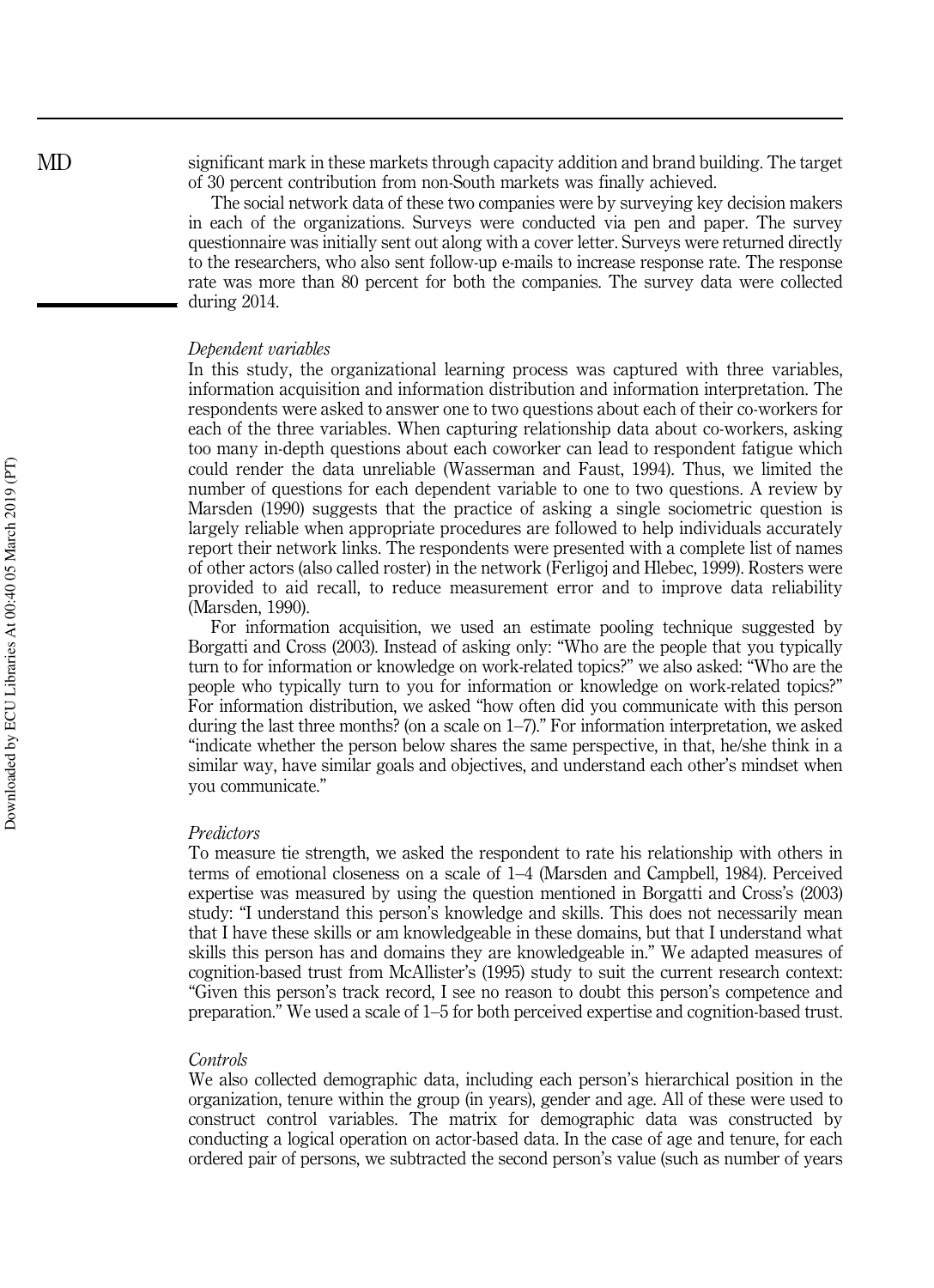significant mark in these markets through capacity addition and brand building. The target of 30 percent contribution from non-South markets was finally achieved.

The social network data of these two companies were by surveying key decision makers in each of the organizations. Surveys were conducted via pen and paper. The survey questionnaire was initially sent out along with a cover letter. Surveys were returned directly to the researchers, who also sent follow-up e-mails to increase response rate. The response rate was more than 80 percent for both the companies. The survey data were collected during 2014.

#### *Dependent variables*

In this study, the organizational learning process was captured with three variables, information acquisition and information distribution and information interpretation. The respondents were asked to answer one to two questions about each of their co-workers for each of the three variables. When capturing relationship data about co-workers, asking too many in-depth questions about each coworker can lead to respondent fatigue which could render the data unreliable (Wasserman and Faust, 1994). Thus, we limited the number of questions for each dependent variable to one to two questions. A review by Marsden (1990) suggests that the practice of asking a single sociometric question is largely reliable when appropriate procedures are followed to help individuals accurately report their network links. The respondents were presented with a complete list of names of other actors (also called roster) in the network (Ferligoj and Hlebec, 1999). Rosters were provided to aid recall, to reduce measurement error and to improve data reliability (Marsden, 1990).

For information acquisition, we used an estimate pooling technique suggested by Borgatti and Cross (2003). Instead of asking only: "Who are the people that you typically turn to for information or knowledge on work-related topics?" we also asked: "Who are the people who typically turn to you for information or knowledge on work-related topics?" For information distribution, we asked "how often did you communicate with this person during the last three months? (on a scale on 1–7)." For information interpretation, we asked "indicate whether the person below shares the same perspective, in that, he/she think in a similar way, have similar goals and objectives, and understand each other's mindset when you communicate."

#### *Predictors*

To measure tie strength, we asked the respondent to rate his relationship with others in terms of emotional closeness on a scale of 1–4 (Marsden and Campbell, 1984). Perceived expertise was measured by using the question mentioned in Borgatti and Cross's (2003) study: "I understand this person's knowledge and skills. This does not necessarily mean that I have these skills or am knowledgeable in these domains, but that I understand what skills this person has and domains they are knowledgeable in." We adapted measures of cognition-based trust from McAllister's (1995) study to suit the current research context: "Given this person's track record, I see no reason to doubt this person's competence and preparation." We used a scale of 1–5 for both perceived expertise and cognition-based trust.

#### *Controls*

We also collected demographic data, including each person's hierarchical position in the organization, tenure within the group (in years), gender and age. All of these were used to construct control variables. The matrix for demographic data was constructed by conducting a logical operation on actor-based data. In the case of age and tenure, for each ordered pair of persons, we subtracted the second person's value (such as number of years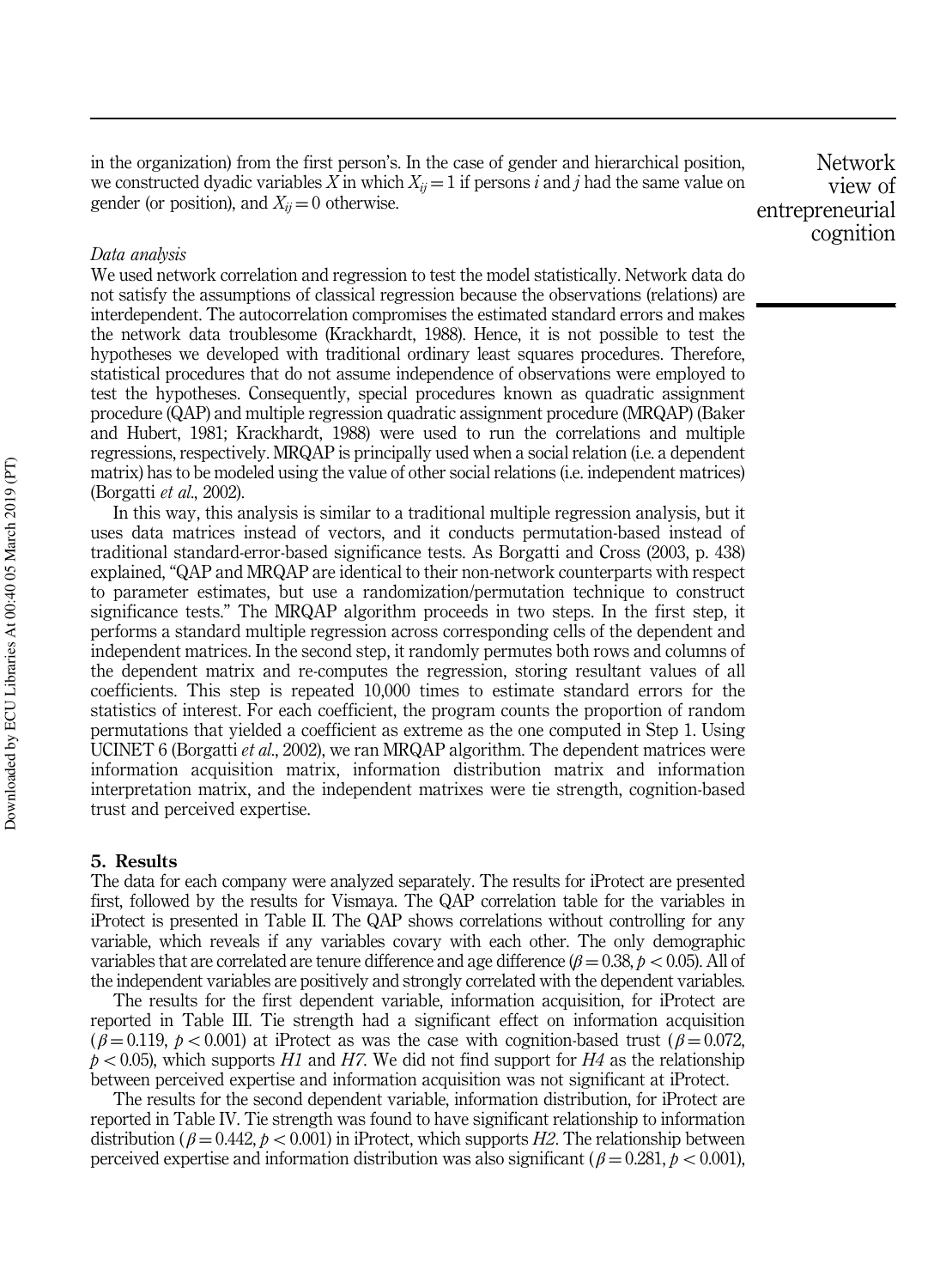in the organization) from the first person's. In the case of gender and hierarchical position, we constructed dyadic variables X in which  $X_{ii} = 1$  if persons *i* and *j* had the same value on gender (or position), and  $X_{ii} = 0$  otherwise.

#### *Data analysis*

We used network correlation and regression to test the model statistically. Network data do not satisfy the assumptions of classical regression because the observations (relations) are interdependent. The autocorrelation compromises the estimated standard errors and makes the network data troublesome (Krackhardt, 1988). Hence, it is not possible to test the hypotheses we developed with traditional ordinary least squares procedures. Therefore, statistical procedures that do not assume independence of observations were employed to test the hypotheses. Consequently, special procedures known as quadratic assignment procedure (QAP) and multiple regression quadratic assignment procedure (MRQAP) (Baker and Hubert, 1981; Krackhardt, 1988) were used to run the correlations and multiple regressions, respectively. MRQAP is principally used when a social relation (i.e. a dependent matrix) has to be modeled using the value of other social relations (i.e. independent matrices) (Borgatti *et al*., 2002).

In this way, this analysis is similar to a traditional multiple regression analysis, but it uses data matrices instead of vectors, and it conducts permutation-based instead of traditional standard-error-based significance tests. As Borgatti and Cross (2003, p. 438) explained, "QAP and MRQAP are identical to their non-network counterparts with respect to parameter estimates, but use a randomization/permutation technique to construct significance tests." The MRQAP algorithm proceeds in two steps. In the first step, it performs a standard multiple regression across corresponding cells of the dependent and independent matrices. In the second step, it randomly permutes both rows and columns of the dependent matrix and re-computes the regression, storing resultant values of all coefficients. This step is repeated 10,000 times to estimate standard errors for the statistics of interest. For each coefficient, the program counts the proportion of random permutations that yielded a coefficient as extreme as the one computed in Step 1. Using UCINET 6 (Borgatti *et al*., 2002), we ran MRQAP algorithm. The dependent matrices were information acquisition matrix, information distribution matrix and information interpretation matrix, and the independent matrixes were tie strength, cognition-based trust and perceived expertise.

#### 5. Results

The data for each company were analyzed separately. The results for iProtect are presented first, followed by the results for Vismaya. The QAP correlation table for the variables in iProtect is presented in Table II. The QAP shows correlations without controlling for any variable, which reveals if any variables covary with each other. The only demographic variables that are correlated are tenure difference and age difference  $(\beta = 0.38, p < 0.05)$ . All of the independent variables are positively and strongly correlated with the dependent variables.

The results for the first dependent variable, information acquisition, for iProtect are reported in Table III. Tie strength had a significant effect on information acquisition  $(\beta = 0.119, p < 0.001)$  at iProtect as was the case with cognition-based trust  $(\beta = 0.072,$  $p < 0.05$ ), which supports *H1* and *H7*. We did not find support for *H4* as the relationship between perceived expertise and information acquisition was not significant at iProtect.

The results for the second dependent variable, information distribution, for iProtect are reported in Table IV. Tie strength was found to have significant relationship to information distribution ( $\beta = 0.442$ ,  $\beta < 0.001$ ) in iProtect, which supports *H2*. The relationship between perceived expertise and information distribution was also significant ( $\beta = 0.281$ ,  $p < 0.001$ ),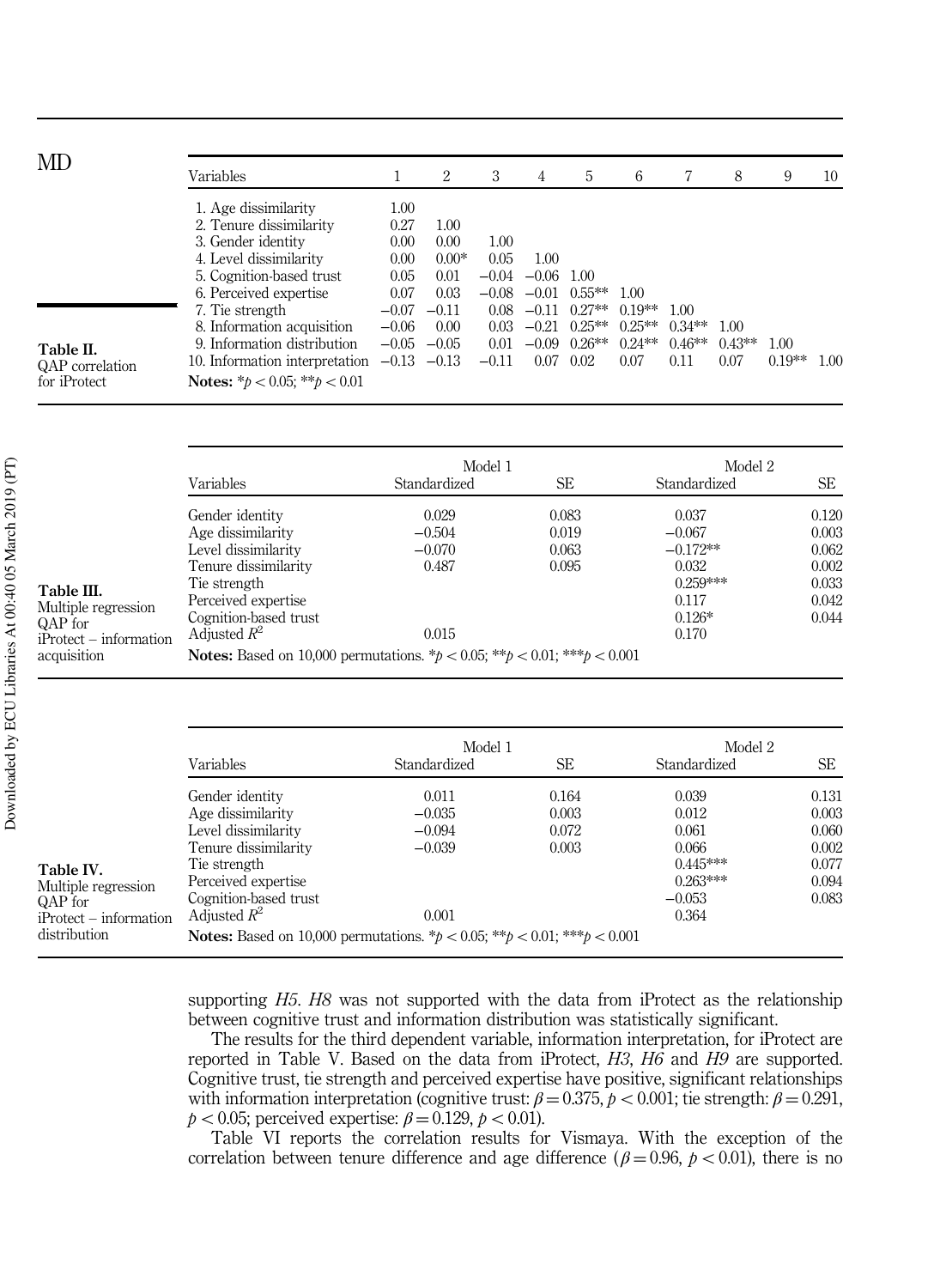| MD                                           | Variables                                                                                                                                                                                                                                                                                                      |                                                                               | 2                                                                                        | 3                                                                     | 4                                                             | 5                                                                | 6                                         |                                           | 8                | 9                | 10   |
|----------------------------------------------|----------------------------------------------------------------------------------------------------------------------------------------------------------------------------------------------------------------------------------------------------------------------------------------------------------------|-------------------------------------------------------------------------------|------------------------------------------------------------------------------------------|-----------------------------------------------------------------------|---------------------------------------------------------------|------------------------------------------------------------------|-------------------------------------------|-------------------------------------------|------------------|------------------|------|
| Table II.<br>QAP correlation<br>for iProtect | 1. Age dissimilarity<br>2. Tenure dissimilarity<br>3. Gender identity<br>4. Level dissimilarity<br>5. Cognition-based trust<br>6. Perceived expertise<br>7. Tie strength<br>8. Information acquisition<br>9. Information distribution<br>10. Information interpretation<br>Notes: * $p < 0.05$ ; ** $p < 0.01$ | 1.00<br>0.27<br>0.00<br>0.00<br>0.05<br>0.07<br>$-0.07$<br>$-0.06$<br>$-0.13$ | 1.00<br>0.00<br>$0.00*$<br>0.01<br>0.03<br>$-0.11$<br>0.00<br>$-0.05$ $-0.05$<br>$-0.13$ | 1.00<br>0.05<br>$-0.04$<br>$-0.08$<br>0.08<br>0.03<br>0.01<br>$-0.11$ | 1.00<br>$-0.06$ 1.00<br>$-0.01$<br>$-0.11$<br>$-0.21$<br>0.07 | $0.55**$ 1.00<br>$0.27**$<br>$0.25***$<br>$-0.09$ 0.26**<br>0.02 | $0.19**$<br>$0.25**$<br>$0.24***$<br>0.07 | 1.00<br>$0.34**$ 1.00<br>$0.46**$<br>0.11 | $0.43**$<br>0.07 | 1.00<br>$0.19**$ | 1.00 |

|                           |                                                                                            | Model 1      |           | Model 2      |       |  |
|---------------------------|--------------------------------------------------------------------------------------------|--------------|-----------|--------------|-------|--|
|                           | Variables                                                                                  | Standardized | <b>SE</b> | Standardized | SE.   |  |
|                           | Gender identity                                                                            | 0.029        | 0.083     | 0.037        | 0.120 |  |
|                           | Age dissimilarity                                                                          | $-0.504$     | 0.019     | $-0.067$     | 0.003 |  |
|                           | Level dissimilarity                                                                        | $-0.070$     | 0.063     | $-0.172**$   | 0.062 |  |
|                           | Tenure dissimilarity                                                                       | 0.487        | 0.095     | 0.032        | 0.002 |  |
| Table III.                | Tie strength                                                                               |              |           | $0.259***$   | 0.033 |  |
| Multiple regression       | Perceived expertise                                                                        |              |           | 0.117        | 0.042 |  |
| QAP for                   | Cognition-based trust                                                                      |              |           | $0.126*$     | 0.044 |  |
| $i$ Protect – information | Adjusted $R^2$                                                                             | 0.015        |           | 0.170        |       |  |
| acquisition               | <b>Notes:</b> Based on 10,000 permutations. * $p < 0.05$ ; ** $p < 0.01$ ; *** $p < 0.001$ |              |           |              |       |  |

|                           |                                                                                            | Model 1      |       | Model 2      |       |  |
|---------------------------|--------------------------------------------------------------------------------------------|--------------|-------|--------------|-------|--|
|                           | Variables                                                                                  | Standardized | SE    | Standardized | SЕ    |  |
|                           | Gender identity                                                                            | 0.011        | 0.164 | 0.039        | 0.131 |  |
|                           | Age dissimilarity                                                                          | $-0.035$     | 0.003 | 0.012        | 0.003 |  |
|                           | Level dissimilarity                                                                        | $-0.094$     | 0.072 | 0.061        | 0.060 |  |
|                           | Tenure dissimilarity                                                                       | $-0.039$     | 0.003 | 0.066        | 0.002 |  |
| Table IV.                 | Tie strength                                                                               |              |       | $0.445***$   | 0.077 |  |
| Multiple regression       | Perceived expertise                                                                        |              |       | $0.263***$   | 0.094 |  |
| QAP for                   | Cognition-based trust                                                                      |              |       | $-0.053$     | 0.083 |  |
| $i$ Protect – information | Adjusted $R^2$                                                                             | 0.001        |       | 0.364        |       |  |
| distribution              | <b>Notes:</b> Based on 10,000 permutations. * $p < 0.05$ ; ** $p < 0.01$ ; *** $p < 0.001$ |              |       |              |       |  |

supporting *H5*. *H8* was not supported with the data from iProtect as the relationship between cognitive trust and information distribution was statistically significant.

The results for the third dependent variable, information interpretation, for iProtect are reported in Table V. Based on the data from iProtect, *H3*, *H6* and *H9* are supported. Cognitive trust, tie strength and perceived expertise have positive, significant relationships with information interpretation (cognitive trust:  $\beta = 0.375$ ,  $p < 0.001$ ; tie strength:  $\beta = 0.291$ ,  $p < 0.05$ ; perceived expertise:  $\beta = 0.129$ ,  $p < 0.01$ ).

Table VI reports the correlation results for Vismaya. With the exception of the correlation between tenure difference and age difference ( $\beta$  = 0.96,  $p$  < 0.01), there is no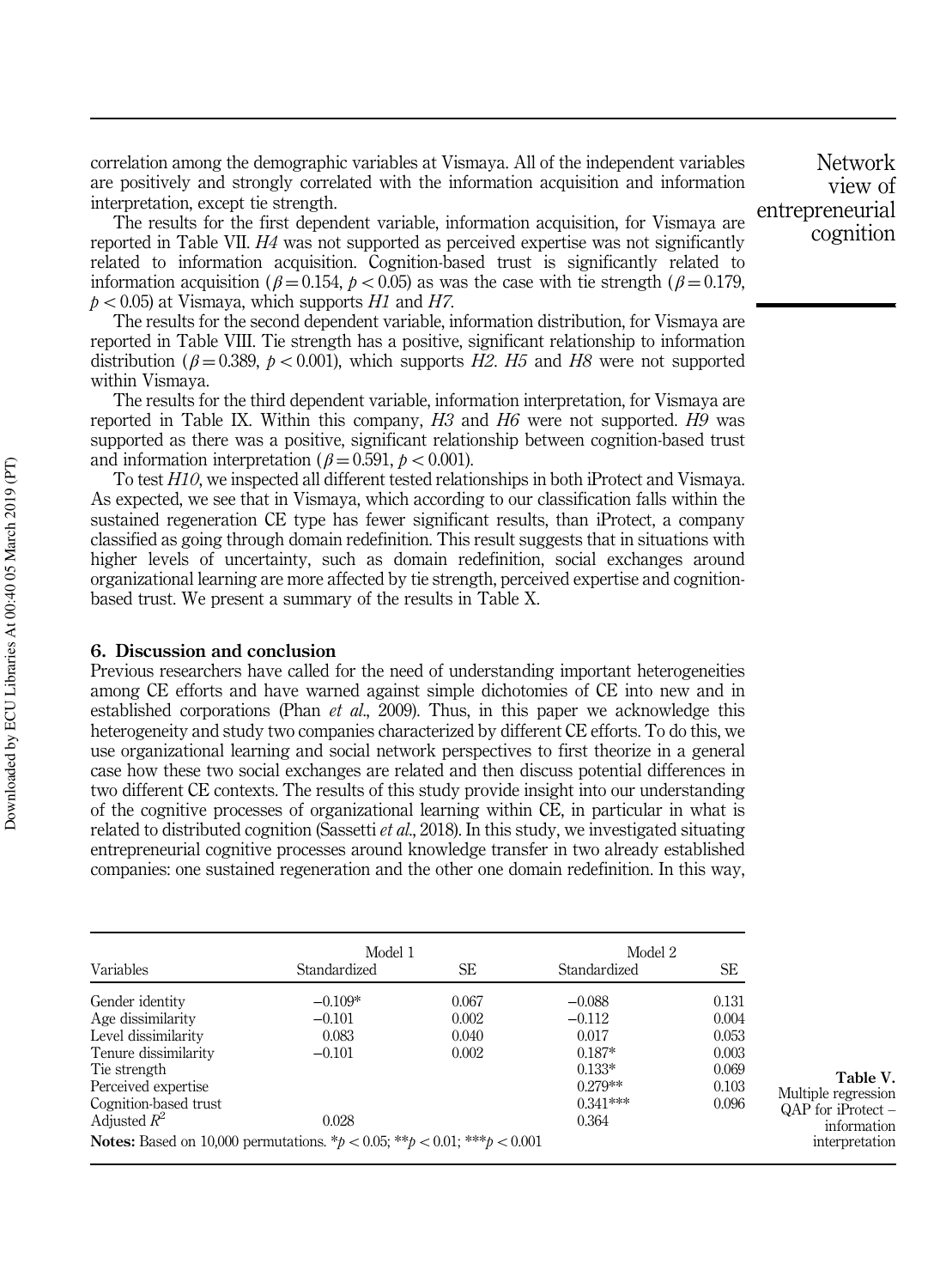correlation among the demographic variables at Vismaya. All of the independent variables are positively and strongly correlated with the information acquisition and information interpretation, except tie strength.

The results for the first dependent variable, information acquisition, for Vismaya are reported in Table VII. *H4* was not supported as perceived expertise was not significantly related to information acquisition. Cognition-based trust is significantly related to information acquisition ( $\beta = 0.154$ ,  $p < 0.05$ ) as was the case with tie strength ( $\beta = 0.179$ ,  $p < 0.05$ ) at Vismaya, which supports *H1* and *H7*.

The results for the second dependent variable, information distribution, for Vismaya are reported in Table VIII. Tie strength has a positive, significant relationship to information distribution ( $\beta = 0.389$ ,  $p < 0.001$ ), which supports *H2*. *H5* and *H8* were not supported within Vismaya.

The results for the third dependent variable, information interpretation, for Vismaya are reported in Table IX. Within this company, *H3* and *H6* were not supported. *H9* was supported as there was a positive, significant relationship between cognition-based trust and information interpretation ( $\beta$  = 0.591,  $p$  < 0.001).

To test *H10*, we inspected all different tested relationships in both iProtect and Vismaya. As expected, we see that in Vismaya, which according to our classification falls within the sustained regeneration CE type has fewer significant results, than iProtect, a company classified as going through domain redefinition. This result suggests that in situations with higher levels of uncertainty, such as domain redefinition, social exchanges around organizational learning are more affected by tie strength, perceived expertise and cognitionbased trust. We present a summary of the results in Table X.

#### 6. Discussion and conclusion

Previous researchers have called for the need of understanding important heterogeneities among CE efforts and have warned against simple dichotomies of CE into new and in established corporations (Phan *et al*., 2009). Thus, in this paper we acknowledge this heterogeneity and study two companies characterized by different CE efforts. To do this, we use organizational learning and social network perspectives to first theorize in a general case how these two social exchanges are related and then discuss potential differences in two different CE contexts. The results of this study provide insight into our understanding of the cognitive processes of organizational learning within CE, in particular in what is related to distributed cognition (Sassetti *et al*., 2018). In this study, we investigated situating entrepreneurial cognitive processes around knowledge transfer in two already established companies: one sustained regeneration and the other one domain redefinition. In this way,

|                                                                                         |              | Model 1 |              | Model 2 |  |  |
|-----------------------------------------------------------------------------------------|--------------|---------|--------------|---------|--|--|
| Variables                                                                               | Standardized | SE      | Standardized | SЕ      |  |  |
| Gender identity                                                                         | $-0.109*$    | 0.067   | $-0.088$     | 0.131   |  |  |
| Age dissimilarity                                                                       | $-0.101$     | 0.002   | $-0.112$     | 0.004   |  |  |
| Level dissimilarity                                                                     | 0.083        | 0.040   | 0.017        | 0.053   |  |  |
| Tenure dissimilarity                                                                    | $-0.101$     | 0.002   | $0.187*$     | 0.003   |  |  |
| Tie strength                                                                            |              |         | $0.133*$     | 0.069   |  |  |
| Perceived expertise                                                                     |              |         | $0.279**$    | 0.103   |  |  |
| Cognition-based trust                                                                   |              |         | $0.341***$   | 0.096   |  |  |
| Adjusted $R^2$                                                                          | 0.028        |         | 0.364        |         |  |  |
| <b>Notes:</b> Based on 10,000 permutations. $*b < 0.05$ ; $**b < 0.01$ ; $***b < 0.001$ |              |         |              |         |  |  |

Network view of entrepreneurial cognition

> Table V. Multiple regression QAP for iProtect – information interpretation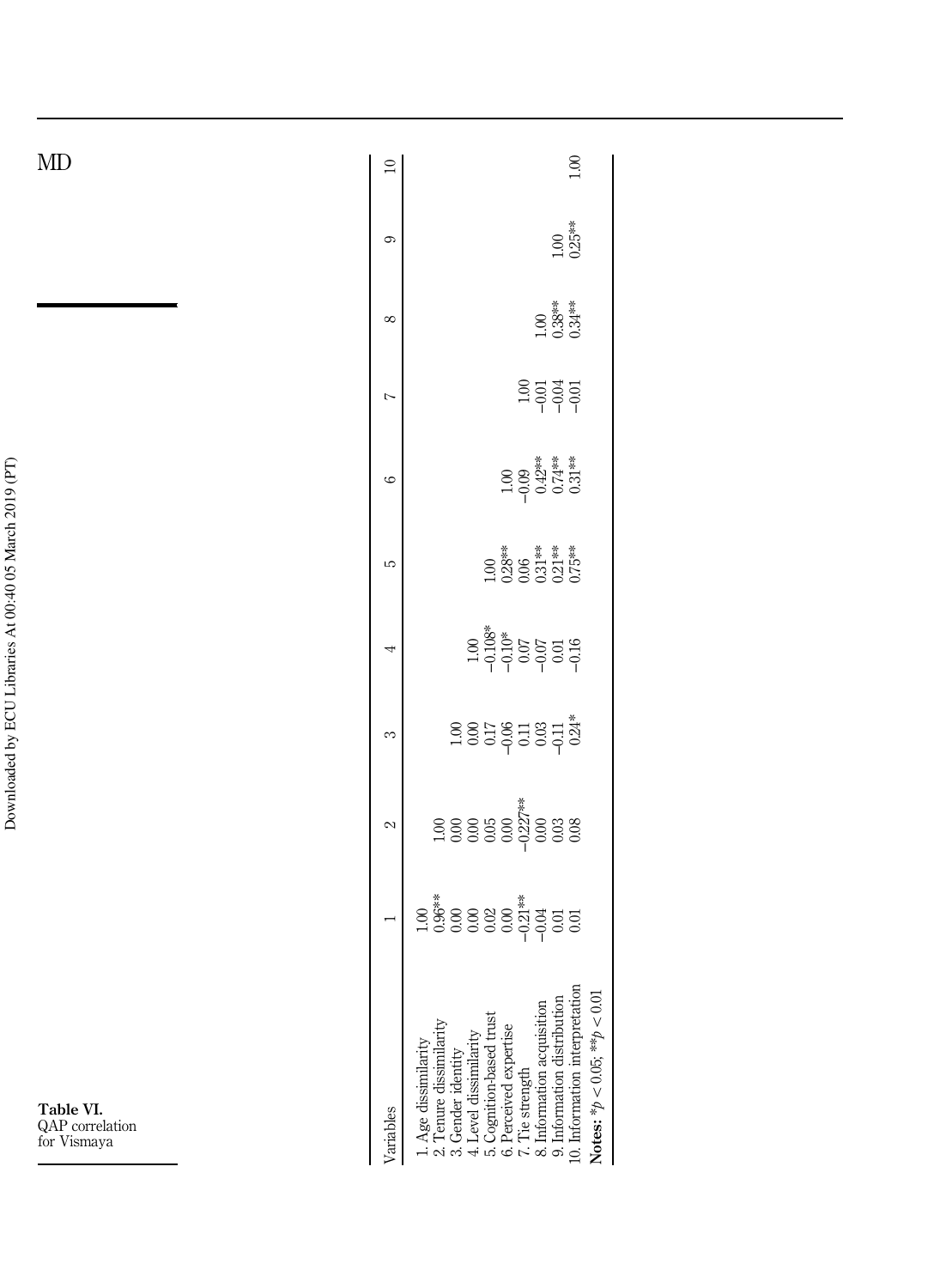Downloaded by ECU Libraries At 00:40 05 March 2019 (PT) Downloaded by ECU Libraries At 00:40 05 March 2019 (PT)

MD

Table VI. QAP correlation for Vismaya

| <b><i>Tariables</i></b>                                                                                                                                                                                                                                                                                   | $\sim$ | $\infty$              | $\overline{a}$ | LO                                                                                  | $\circ$                                                                                                                                                                                                                                                                                                                                          |               | $\infty$                        | $\circ$               |  |
|-----------------------------------------------------------------------------------------------------------------------------------------------------------------------------------------------------------------------------------------------------------------------------------------------------------|--------|-----------------------|----------------|-------------------------------------------------------------------------------------|--------------------------------------------------------------------------------------------------------------------------------------------------------------------------------------------------------------------------------------------------------------------------------------------------------------------------------------------------|---------------|---------------------------------|-----------------------|--|
| 0. Information interpretation<br>Notes: * $p < 0.05$ ; ** $p < 0.01$<br>7. Tie strength<br>8. Information acquisition<br>9. Information distribution<br>5. Cognition-based trust<br>6. Perceived expertise<br>2. Tenure dissimilarity<br>Level dissimilarity<br>. Age dissimilarity<br>3. Gender identity |        | 88581334*<br>19859001 |                | $\begin{array}{c} 1.00 \\ 0.28** \\ 0.06 \\ 0.31** \\ 0.21** \\ 0.75** \end{array}$ | $\begin{array}{c} 1.00 \\ -0.01 \\ -0.01 \\ -0.01 \\ -0.01 \\ -0.01 \\ -0.01 \\ -0.01 \\ -0.01 \\ -0.01 \\ -0.01 \\ -0.01 \\ -0.01 \\ -0.01 \\ -0.01 \\ -0.01 \\ -0.01 \\ -0.01 \\ -0.01 \\ -0.01 \\ -0.01 \\ -0.01 \\ -0.01 \\ -0.01 \\ -0.01 \\ -0.01 \\ -0.01 \\ -0.01 \\ -0.01 \\ -0.01 \\ -0.01 \\ -0.01 \\ -0.01 \\ -0.01 \\ -0.01 \\ -0.$ | 8535<br>- 999 | $\frac{1.00}{1.38**}$<br>0.33** | $\frac{1.00}{2.25**}$ |  |
|                                                                                                                                                                                                                                                                                                           |        |                       |                |                                                                                     |                                                                                                                                                                                                                                                                                                                                                  |               |                                 |                       |  |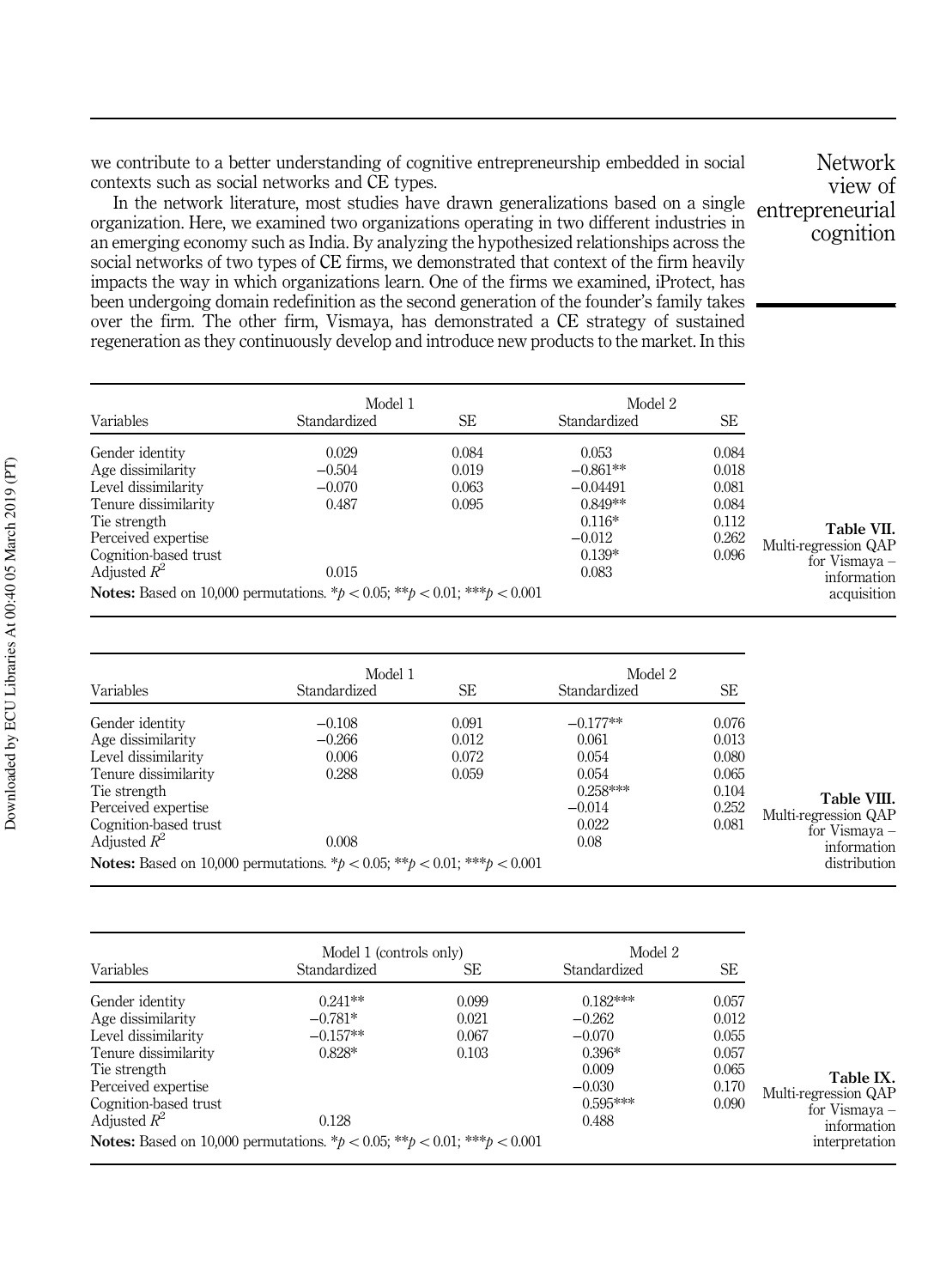we contribute to a better understanding of cognitive entrepreneurship embedded in social contexts such as social networks and CE types.

In the network literature, most studies have drawn generalizations based on a single organization. Here, we examined two organizations operating in two different industries in an emerging economy such as India. By analyzing the hypothesized relationships across the social networks of two types of CE firms, we demonstrated that context of the firm heavily impacts the way in which organizations learn. One of the firms we examined, iProtect, has been undergoing domain redefinition as the second generation of the founder's family takes over the firm. The other firm, Vismaya, has demonstrated a CE strategy of sustained regeneration as they continuously develop and introduce new products to the market. In this

|                                                                                            | Model 1      |           | Model 2      |           |                      |
|--------------------------------------------------------------------------------------------|--------------|-----------|--------------|-----------|----------------------|
| Variables                                                                                  | Standardized | <b>SE</b> | Standardized | <b>SE</b> |                      |
| Gender identity                                                                            | 0.029        | 0.084     | 0.053        | 0.084     |                      |
| Age dissimilarity                                                                          | $-0.504$     | 0.019     | $-0.861**$   | 0.018     |                      |
| Level dissimilarity                                                                        | $-0.070$     | 0.063     | $-0.04491$   | 0.081     |                      |
| Tenure dissimilarity                                                                       | 0.487        | 0.095     | $0.849**$    | 0.084     |                      |
| Tie strength                                                                               |              |           | $0.116*$     | 0.112     | Table VII.           |
| Perceived expertise                                                                        |              |           | $-0.012$     | 0.262     | Multi-regression QAP |
| Cognition-based trust                                                                      |              |           | $0.139*$     | 0.096     | for Vismaya -        |
| Adjusted $R^2$                                                                             | 0.015        |           | 0.083        |           | information          |
| <b>Notes:</b> Based on 10,000 permutations. * $p < 0.05$ ; ** $p < 0.01$ ; *** $p < 0.001$ |              |           |              |           | acquisition          |

|                                                                                            | Model 1      |           | Model 2      |           |                      |
|--------------------------------------------------------------------------------------------|--------------|-----------|--------------|-----------|----------------------|
| Variables                                                                                  | Standardized | <b>SE</b> | Standardized | <b>SE</b> |                      |
| Gender identity                                                                            | $-0.108$     | 0.091     | $-0.177**$   | 0.076     |                      |
| Age dissimilarity                                                                          | $-0.266$     | 0.012     | 0.061        | 0.013     |                      |
| Level dissimilarity                                                                        | 0.006        | 0.072     | 0.054        | 0.080     |                      |
| Tenure dissimilarity                                                                       | 0.288        | 0.059     | 0.054        | 0.065     |                      |
| Tie strength                                                                               |              |           | $0.258***$   | 0.104     | Table VIII.          |
| Perceived expertise                                                                        |              |           | $-0.014$     | 0.252     | Multi-regression QAP |
| Cognition-based trust                                                                      |              |           | 0.022        | 0.081     | for Vismaya -        |
| Adjusted $R^2$                                                                             | 0.008        |           | 0.08         |           | information          |
| <b>Notes:</b> Based on 10,000 permutations. * $p < 0.05$ ; ** $p < 0.01$ ; *** $p < 0.001$ |              |           |              |           | distribution         |

|                                                                                           | Model 1 (controls only) |       | Model 2      |           |                      |
|-------------------------------------------------------------------------------------------|-------------------------|-------|--------------|-----------|----------------------|
| Variables                                                                                 | Standardized            | SЕ    | Standardized | <b>SE</b> |                      |
| Gender identity                                                                           | $0.241**$               | 0.099 | $0.182***$   | 0.057     |                      |
| Age dissimilarity                                                                         | $-0.781*$               | 0.021 | $-0.262$     | 0.012     |                      |
| Level dissimilarity                                                                       | $-0.157**$              | 0.067 | $-0.070$     | 0.055     |                      |
| Tenure dissimilarity                                                                      | $0.828*$                | 0.103 | $0.396*$     | 0.057     |                      |
| Tie strength                                                                              |                         |       | 0.009        | 0.065     | Table IX.            |
| Perceived expertise                                                                       |                         |       | $-0.030$     | 0.170     | Multi-regression QAP |
| Cognition-based trust                                                                     |                         |       | $0.595***$   | 0.090     | for Vismaya -        |
| Adjusted $R^2$                                                                            | 0.128                   |       | 0.488        |           | information          |
| <b>Notes:</b> Based on 10,000 permutations. * $p < 0.05$ ; ** $p < 0.01$ ; ** $p < 0.001$ |                         |       |              |           | interpretation       |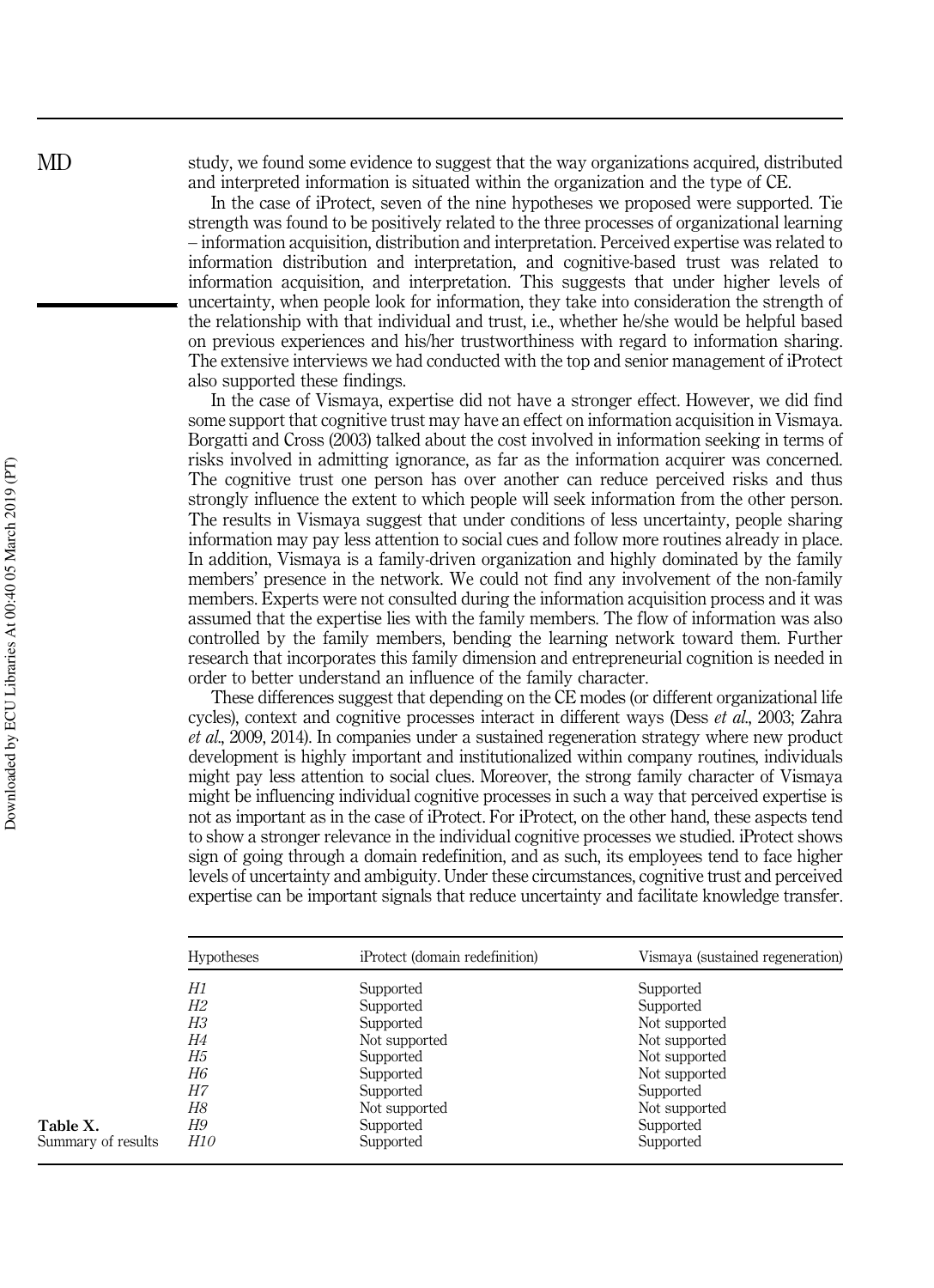study, we found some evidence to suggest that the way organizations acquired, distributed and interpreted information is situated within the organization and the type of CE.

In the case of iProtect, seven of the nine hypotheses we proposed were supported. Tie strength was found to be positively related to the three processes of organizational learning – information acquisition, distribution and interpretation. Perceived expertise was related to information distribution and interpretation, and cognitive-based trust was related to information acquisition, and interpretation. This suggests that under higher levels of uncertainty, when people look for information, they take into consideration the strength of the relationship with that individual and trust, i.e., whether he/she would be helpful based on previous experiences and his/her trustworthiness with regard to information sharing. The extensive interviews we had conducted with the top and senior management of iProtect also supported these findings.

In the case of Vismaya, expertise did not have a stronger effect. However, we did find some support that cognitive trust may have an effect on information acquisition in Vismaya. Borgatti and Cross (2003) talked about the cost involved in information seeking in terms of risks involved in admitting ignorance, as far as the information acquirer was concerned. The cognitive trust one person has over another can reduce perceived risks and thus strongly influence the extent to which people will seek information from the other person. The results in Vismaya suggest that under conditions of less uncertainty, people sharing information may pay less attention to social cues and follow more routines already in place. In addition, Vismaya is a family-driven organization and highly dominated by the family members' presence in the network. We could not find any involvement of the non-family members. Experts were not consulted during the information acquisition process and it was assumed that the expertise lies with the family members. The flow of information was also controlled by the family members, bending the learning network toward them. Further research that incorporates this family dimension and entrepreneurial cognition is needed in order to better understand an influence of the family character.

These differences suggest that depending on the CE modes (or different organizational life cycles), context and cognitive processes interact in different ways (Dess *et al*., 2003; Zahra *et al*., 2009, 2014). In companies under a sustained regeneration strategy where new product development is highly important and institutionalized within company routines, individuals might pay less attention to social clues. Moreover, the strong family character of Vismaya might be influencing individual cognitive processes in such a way that perceived expertise is not as important as in the case of iProtect. For iProtect, on the other hand, these aspects tend to show a stronger relevance in the individual cognitive processes we studied. iProtect shows sign of going through a domain redefinition, and as such, its employees tend to face higher levels of uncertainty and ambiguity. Under these circumstances, cognitive trust and perceived expertise can be important signals that reduce uncertainty and facilitate knowledge transfer.

|                    | <b>Hypotheses</b> | iProtect (domain redefinition) | Vismaya (sustained regeneration) |
|--------------------|-------------------|--------------------------------|----------------------------------|
|                    | Н1                | Supported                      | Supported                        |
|                    | Н2                | Supported                      | Supported                        |
|                    | Η3                | Supported                      | Not supported                    |
|                    | Н4                | Not supported                  | Not supported                    |
|                    | Н5                | Supported                      | Not supported                    |
|                    | Н6                | Supported                      | Not supported                    |
|                    | <i>H7</i>         | Supported                      | Supported                        |
|                    | Н8                | Not supported                  | Not supported                    |
| Table X.           | Η9                | Supported                      | Supported                        |
| Summary of results | <i>H10</i>        | Supported                      | Supported                        |

MD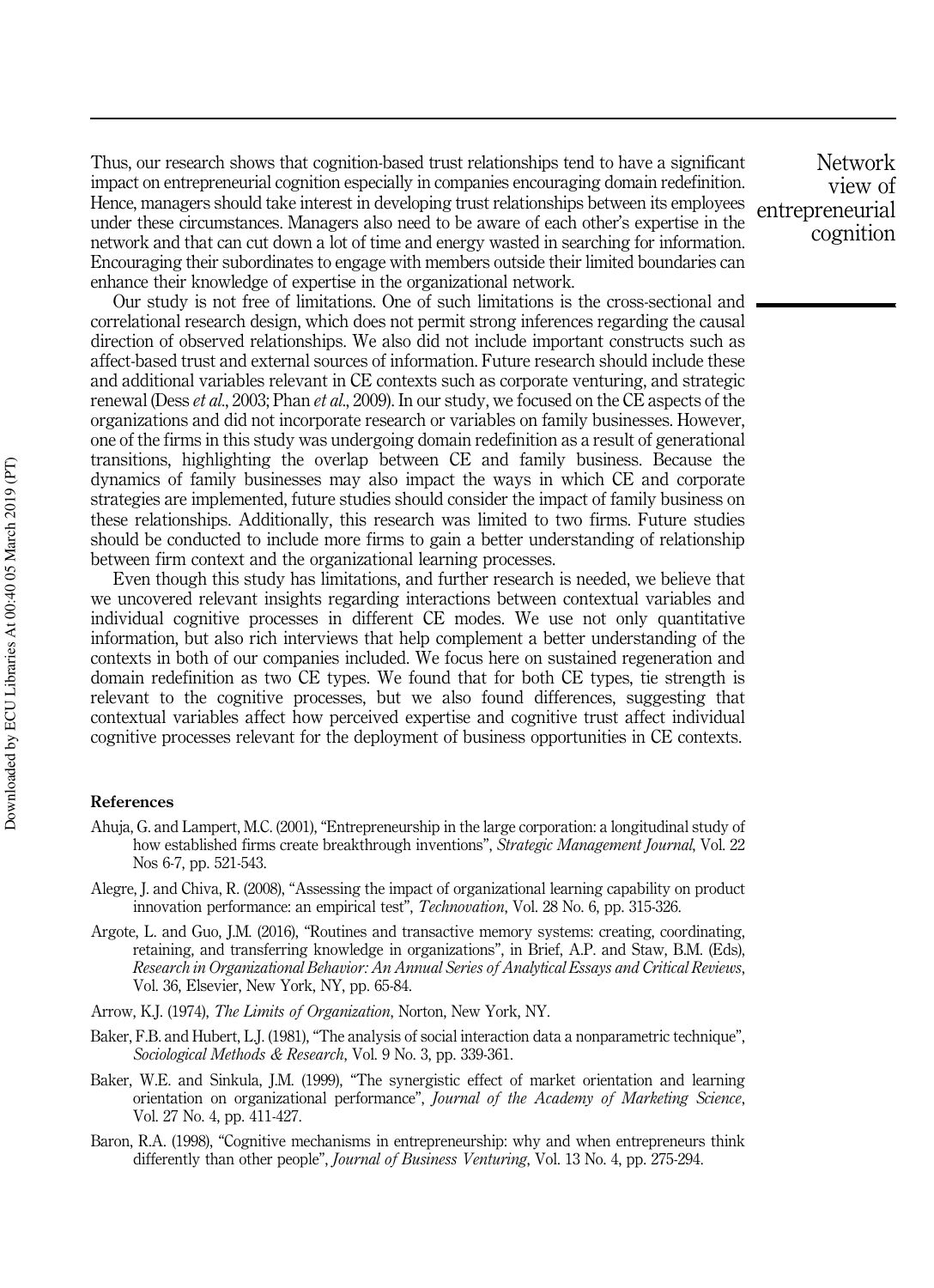Thus, our research shows that cognition-based trust relationships tend to have a significant impact on entrepreneurial cognition especially in companies encouraging domain redefinition. Hence, managers should take interest in developing trust relationships between its employees under these circumstances. Managers also need to be aware of each other's expertise in the network and that can cut down a lot of time and energy wasted in searching for information. Encouraging their subordinates to engage with members outside their limited boundaries can enhance their knowledge of expertise in the organizational network.

Our study is not free of limitations. One of such limitations is the cross-sectional and correlational research design, which does not permit strong inferences regarding the causal direction of observed relationships. We also did not include important constructs such as affect-based trust and external sources of information. Future research should include these and additional variables relevant in CE contexts such as corporate venturing, and strategic renewal (Dess *et al*., 2003; Phan *et al*., 2009). In our study, we focused on the CE aspects of the organizations and did not incorporate research or variables on family businesses. However, one of the firms in this study was undergoing domain redefinition as a result of generational transitions, highlighting the overlap between CE and family business. Because the dynamics of family businesses may also impact the ways in which CE and corporate strategies are implemented, future studies should consider the impact of family business on these relationships. Additionally, this research was limited to two firms. Future studies should be conducted to include more firms to gain a better understanding of relationship between firm context and the organizational learning processes.

Even though this study has limitations, and further research is needed, we believe that we uncovered relevant insights regarding interactions between contextual variables and individual cognitive processes in different CE modes. We use not only quantitative information, but also rich interviews that help complement a better understanding of the contexts in both of our companies included. We focus here on sustained regeneration and domain redefinition as two CE types. We found that for both CE types, tie strength is relevant to the cognitive processes, but we also found differences, suggesting that contextual variables affect how perceived expertise and cognitive trust affect individual cognitive processes relevant for the deployment of business opportunities in CE contexts.

#### References

- Ahuja, G. and Lampert, M.C. (2001), "Entrepreneurship in the large corporation: a longitudinal study of how established firms create breakthrough inventions", *Strategic Management Journal*, Vol. 22 Nos 6‐7, pp. 521-543.
- Alegre, J. and Chiva, R. (2008), "Assessing the impact of organizational learning capability on product innovation performance: an empirical test", *Technovation*, Vol. 28 No. 6, pp. 315-326.
- Argote, L. and Guo, J.M. (2016), "Routines and transactive memory systems: creating, coordinating, retaining, and transferring knowledge in organizations", in Brief, A.P. and Staw, B.M. (Eds), *Research in Organizational Behavior: An Annual Series of Analytical Essays and Critical Reviews*, Vol. 36, Elsevier, New York, NY, pp. 65-84.
- Arrow, K.J. (1974), *The Limits of Organization*, Norton, New York, NY.
- Baker, F.B. and Hubert, L.J. (1981), "The analysis of social interaction data a nonparametric technique", *Sociological Methods & Research*, Vol. 9 No. 3, pp. 339-361.
- Baker, W.E. and Sinkula, J.M. (1999), "The synergistic effect of market orientation and learning orientation on organizational performance", *Journal of the Academy of Marketing Science*, Vol. 27 No. 4, pp. 411-427.
- Baron, R.A. (1998), "Cognitive mechanisms in entrepreneurship: why and when entrepreneurs think differently than other people", *Journal of Business Venturing*, Vol. 13 No. 4, pp. 275-294.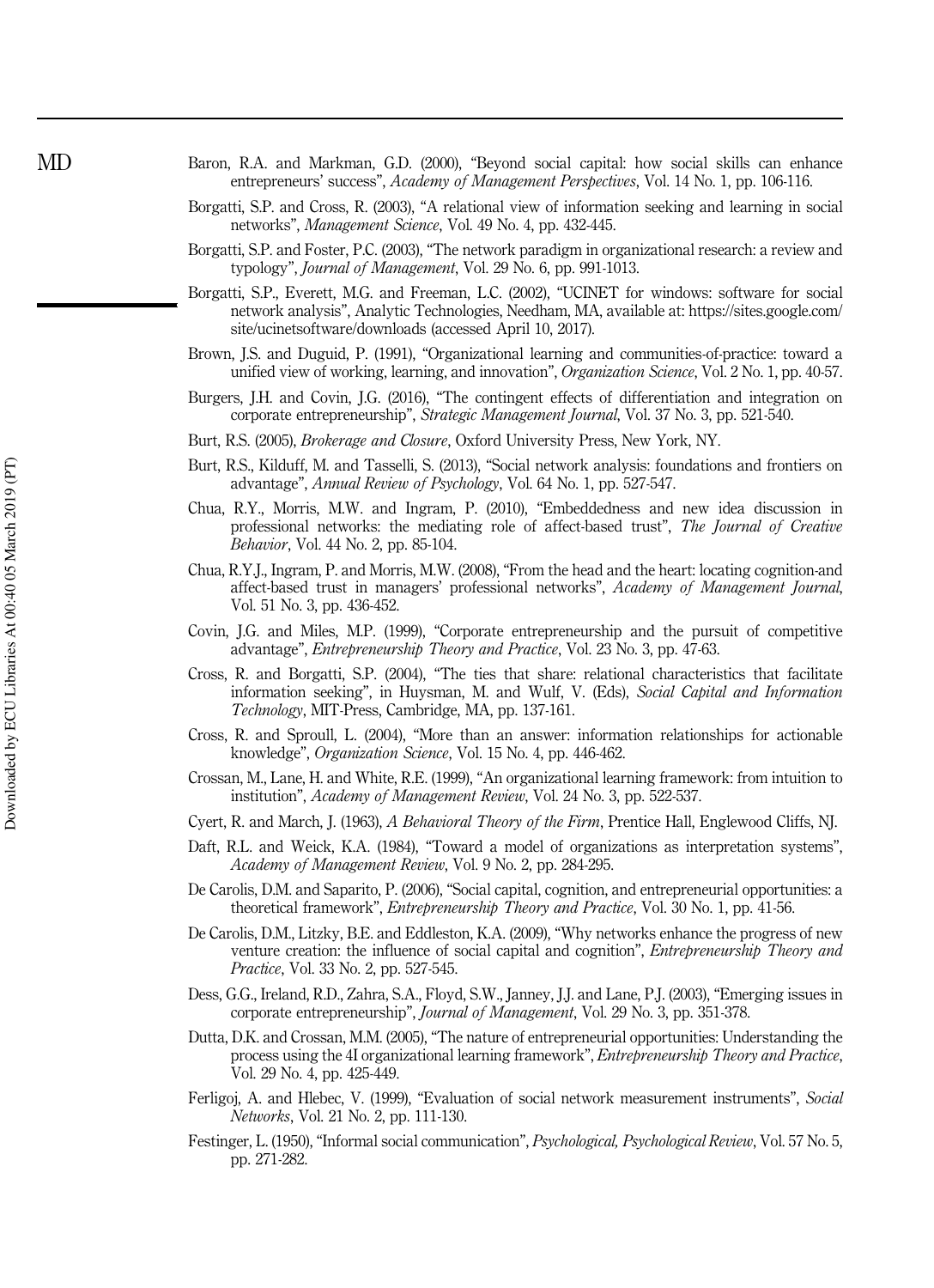- Baron, R.A. and Markman, G.D. (2000), "Beyond social capital: how social skills can enhance entrepreneurs' success", *Academy of Management Perspectives*, Vol. 14 No. 1, pp. 106-116.
- Borgatti, S.P. and Cross, R. (2003), "A relational view of information seeking and learning in social networks", *Management Science*, Vol. 49 No. 4, pp. 432-445.
- Borgatti, S.P. and Foster, P.C. (2003), "The network paradigm in organizational research: a review and typology", *Journal of Management*, Vol. 29 No. 6, pp. 991-1013.
- Borgatti, S.P., Everett, M.G. and Freeman, L.C. (2002), "UCINET for windows: software for social network analysis", Analytic Technologies, Needham, MA, available at: https://sites.google.com/ site/ucinetsoftware/downloads (accessed April 10, 2017).
- Brown, J.S. and Duguid, P. (1991), "Organizational learning and communities-of-practice: toward a unified view of working, learning, and innovation", *Organization Science*, Vol. 2 No. 1, pp. 40-57.
- Burgers, J.H. and Covin, J.G. (2016), "The contingent effects of differentiation and integration on corporate entrepreneurship", *Strategic Management Journal*, Vol. 37 No. 3, pp. 521-540.
- Burt, R.S. (2005), *Brokerage and Closure*, Oxford University Press, New York, NY.
- Burt, R.S., Kilduff, M. and Tasselli, S. (2013), "Social network analysis: foundations and frontiers on advantage", *Annual Review of Psychology*, Vol. 64 No. 1, pp. 527-547.
- Chua, R.Y., Morris, M.W. and Ingram, P. (2010), "Embeddedness and new idea discussion in professional networks: the mediating role of affect-based trust", *The Journal of Creative Behavior*, Vol. 44 No. 2, pp. 85-104.
- Chua, R.Y.J., Ingram, P. and Morris, M.W. (2008), "From the head and the heart: locating cognition-and affect-based trust in managers' professional networks", *Academy of Management Journal*, Vol. 51 No. 3, pp. 436-452.
- Covin, J.G. and Miles, M.P. (1999), "Corporate entrepreneurship and the pursuit of competitive advantage", *Entrepreneurship Theory and Practice*, Vol. 23 No. 3, pp. 47-63.
- Cross, R. and Borgatti, S.P. (2004), "The ties that share: relational characteristics that facilitate information seeking", in Huysman, M. and Wulf, V. (Eds), *Social Capital and Information Technology*, MIT-Press, Cambridge, MA, pp. 137-161.
- Cross, R. and Sproull, L. (2004), "More than an answer: information relationships for actionable knowledge", *Organization Science*, Vol. 15 No. 4, pp. 446-462.
- Crossan, M., Lane, H. and White, R.E. (1999), "An organizational learning framework: from intuition to institution", *Academy of Management Review*, Vol. 24 No. 3, pp. 522-537.
- Cyert, R. and March, J. (1963), *A Behavioral Theory of the Firm*, Prentice Hall, Englewood Cliffs, NJ.
- Daft, R.L. and Weick, K.A. (1984), "Toward a model of organizations as interpretation systems", *Academy of Management Review*, Vol. 9 No. 2, pp. 284-295.
- De Carolis, D.M. and Saparito, P. (2006), "Social capital, cognition, and entrepreneurial opportunities: a theoretical framework", *Entrepreneurship Theory and Practice*, Vol. 30 No. 1, pp. 41-56.
- De Carolis, D.M., Litzky, B.E. and Eddleston, K.A. (2009), "Why networks enhance the progress of new venture creation: the influence of social capital and cognition", *Entrepreneurship Theory and Practice*, Vol. 33 No. 2, pp. 527-545.
- Dess, G.G., Ireland, R.D., Zahra, S.A., Floyd, S.W., Janney, J.J. and Lane, P.J. (2003), "Emerging issues in corporate entrepreneurship", *Journal of Management*, Vol. 29 No. 3, pp. 351-378.
- Dutta, D.K. and Crossan, M.M. (2005), "The nature of entrepreneurial opportunities: Understanding the process using the 4I organizational learning framework", *Entrepreneurship Theory and Practice*, Vol. 29 No. 4, pp. 425-449.
- Ferligoj, A. and Hlebec, V. (1999), "Evaluation of social network measurement instruments", *Social Networks*, Vol. 21 No. 2, pp. 111-130.
- Festinger, L. (1950), "Informal social communication", *Psychological, Psychological Review*, Vol. 57 No. 5, pp. 271-282.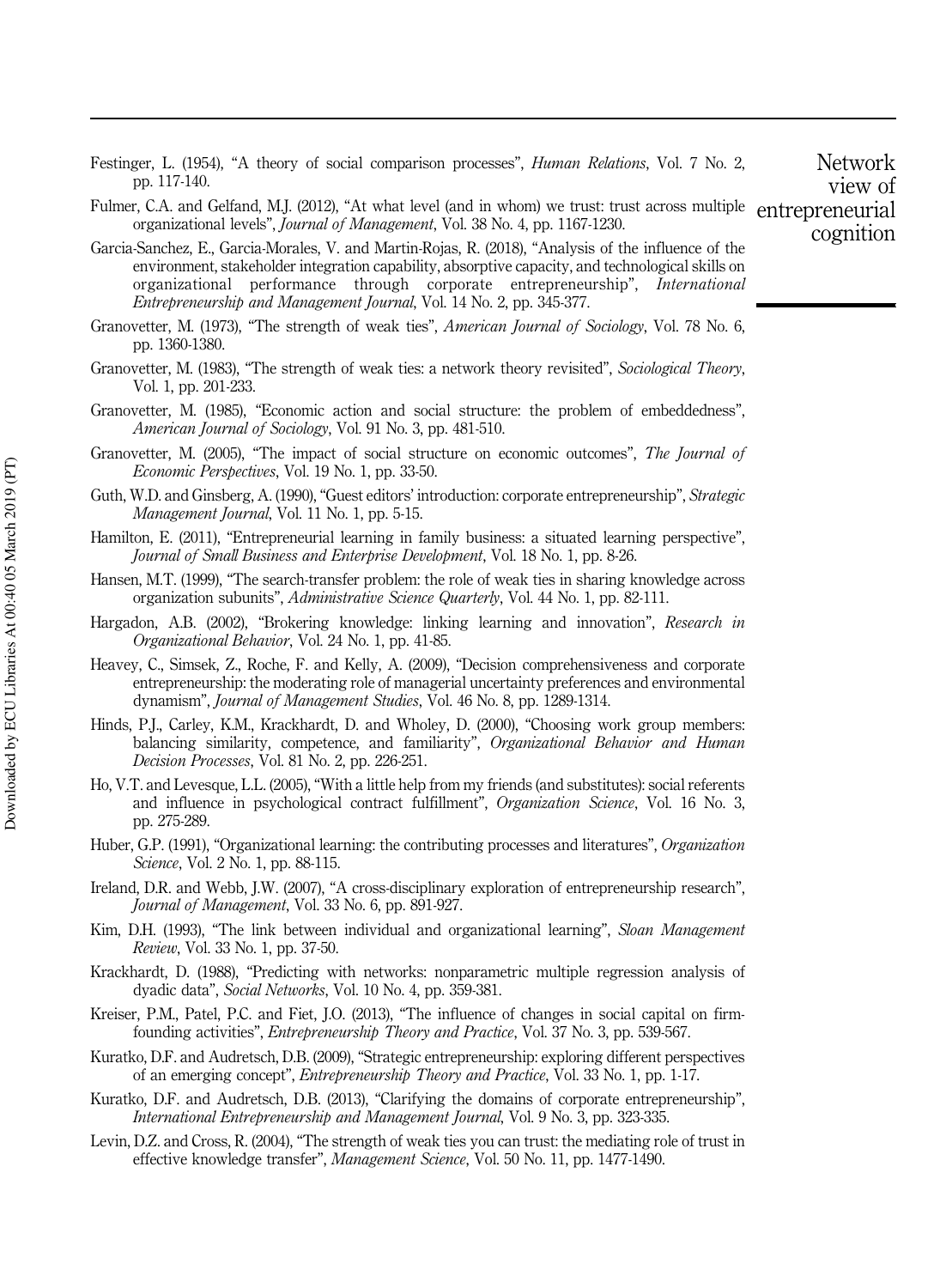- Festinger, L. (1954), "A theory of social comparison processes", *Human Relations*, Vol. 7 No. 2, pp. 117-140.
- Fulmer, C.A. and Gelfand, M.J. (2012), "At what level (and in whom) we trust: trust across multiple organizational levels", *Journal of Management*, Vol. 38 No. 4, pp. 1167-1230.
- Garcia-Sanchez, E., Garcia-Morales, V. and Martin-Rojas, R. (2018), "Analysis of the influence of the environment, stakeholder integration capability, absorptive capacity, and technological skills on organizational performance through corporate entrepreneurship", *International Entrepreneurship and Management Journal*, Vol. 14 No. 2, pp. 345-377.
- Granovetter, M. (1973), "The strength of weak ties", *American Journal of Sociology*, Vol. 78 No. 6, pp. 1360-1380.
- Granovetter, M. (1983), "The strength of weak ties: a network theory revisited", *Sociological Theory*, Vol. 1, pp. 201-233.
- Granovetter, M. (1985), "Economic action and social structure: the problem of embeddedness", *American Journal of Sociology*, Vol. 91 No. 3, pp. 481-510.
- Granovetter, M. (2005), "The impact of social structure on economic outcomes", *The Journal of Economic Perspectives*, Vol. 19 No. 1, pp. 33-50.
- Guth, W.D. and Ginsberg, A. (1990), "Guest editors' introduction: corporate entrepreneurship", *Strategic Management Journal*, Vol. 11 No. 1, pp. 5-15.
- Hamilton, E. (2011), "Entrepreneurial learning in family business: a situated learning perspective", *Journal of Small Business and Enterprise Development*, Vol. 18 No. 1, pp. 8-26.
- Hansen, M.T. (1999), "The search-transfer problem: the role of weak ties in sharing knowledge across organization subunits", *Administrative Science Quarterly*, Vol. 44 No. 1, pp. 82-111.
- Hargadon, A.B. (2002), "Brokering knowledge: linking learning and innovation", *Research in Organizational Behavior*, Vol. 24 No. 1, pp. 41-85.
- Heavey, C., Simsek, Z., Roche, F. and Kelly, A. (2009), "Decision comprehensiveness and corporate entrepreneurship: the moderating role of managerial uncertainty preferences and environmental dynamism", *Journal of Management Studies*, Vol. 46 No. 8, pp. 1289-1314.
- Hinds, P.J., Carley, K.M., Krackhardt, D. and Wholey, D. (2000), "Choosing work group members: balancing similarity, competence, and familiarity", *Organizational Behavior and Human Decision Processes*, Vol. 81 No. 2, pp. 226-251.
- Ho, V.T. and Levesque, L.L. (2005), "With a little help from my friends (and substitutes): social referents and influence in psychological contract fulfillment", *Organization Science*, Vol. 16 No. 3, pp. 275-289.
- Huber, G.P. (1991), "Organizational learning: the contributing processes and literatures", *Organization Science*, Vol. 2 No. 1, pp. 88-115.
- Ireland, D.R. and Webb, J.W. (2007), "A cross-disciplinary exploration of entrepreneurship research", *Journal of Management*, Vol. 33 No. 6, pp. 891-927.
- Kim, D.H. (1993), "The link between individual and organizational learning", *Sloan Management Review*, Vol. 33 No. 1, pp. 37-50.
- Krackhardt, D. (1988), "Predicting with networks: nonparametric multiple regression analysis of dyadic data", *Social Networks*, Vol. 10 No. 4, pp. 359-381.
- Kreiser, P.M., Patel, P.C. and Fiet, J.O. (2013), "The influence of changes in social capital on firmfounding activities", *Entrepreneurship Theory and Practice*, Vol. 37 No. 3, pp. 539-567.
- Kuratko, D.F. and Audretsch, D.B. (2009), "Strategic entrepreneurship: exploring different perspectives of an emerging concept", *Entrepreneurship Theory and Practice*, Vol. 33 No. 1, pp. 1-17.
- Kuratko, D.F. and Audretsch, D.B. (2013), "Clarifying the domains of corporate entrepreneurship", *International Entrepreneurship and Management Journal*, Vol. 9 No. 3, pp. 323-335.
- Levin, D.Z. and Cross, R. (2004), "The strength of weak ties you can trust: the mediating role of trust in effective knowledge transfer", *Management Science*, Vol. 50 No. 11, pp. 1477-1490.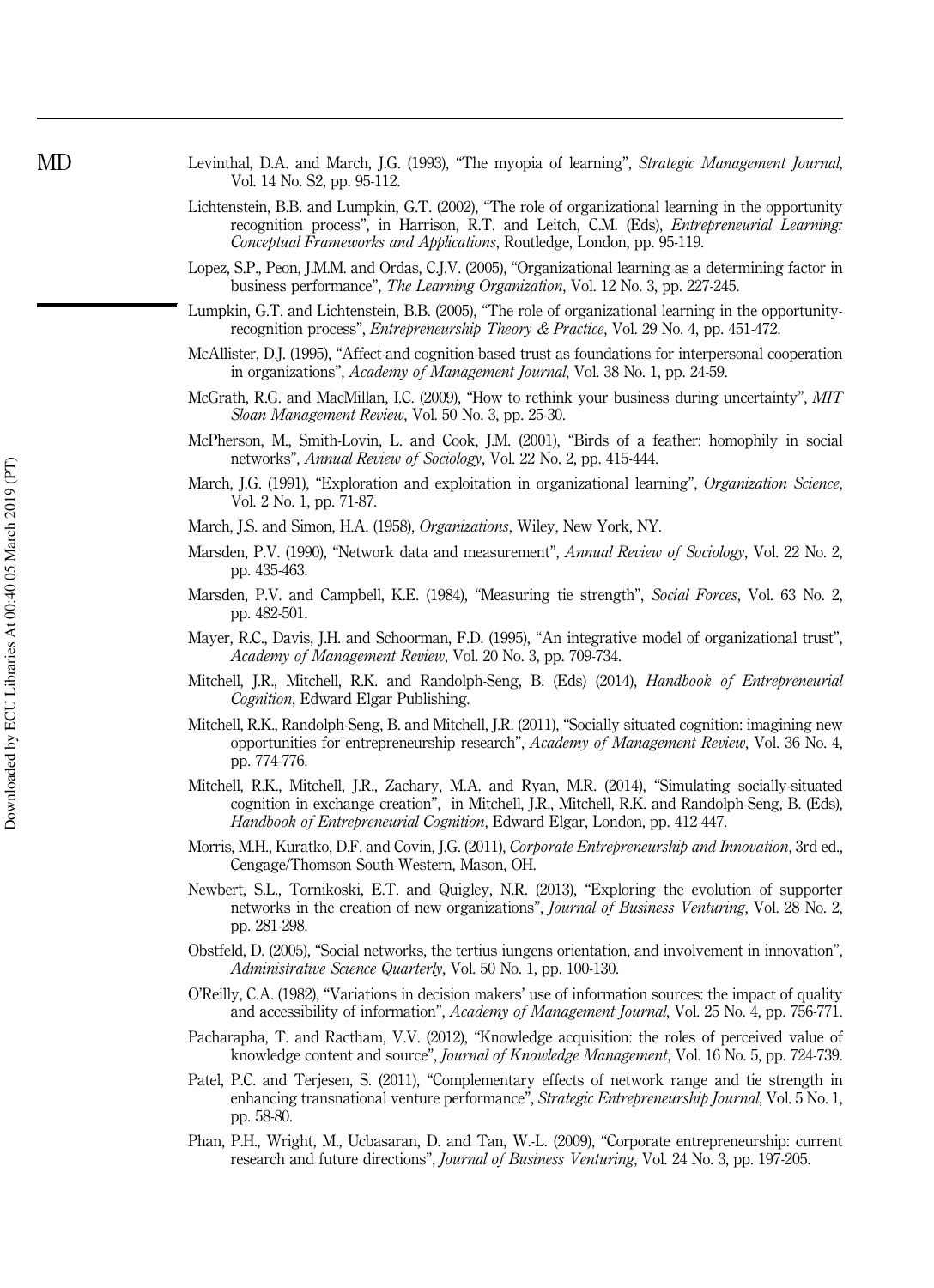- Levinthal, D.A. and March, J.G. (1993), "The myopia of learning", *Strategic Management Journal*, Vol. 14 No. S2, pp. 95-112.
- Lichtenstein, B.B. and Lumpkin, G.T. (2002), "The role of organizational learning in the opportunity recognition process", in Harrison, R.T. and Leitch, C.M. (Eds), *Entrepreneurial Learning: Conceptual Frameworks and Applications*, Routledge, London, pp. 95-119.
- Lopez, S.P., Peon, J.M.M. and Ordas, C.J.V. (2005), "Organizational learning as a determining factor in business performance", *The Learning Organization*, Vol. 12 No. 3, pp. 227-245.
- Lumpkin, G.T. and Lichtenstein, B.B. (2005), "The role of organizational learning in the opportunityrecognition process", *Entrepreneurship Theory & Practice*, Vol. 29 No. 4, pp. 451-472.
- McAllister, D.J. (1995), "Affect-and cognition-based trust as foundations for interpersonal cooperation in organizations", *Academy of Management Journal*, Vol. 38 No. 1, pp. 24-59.
- McGrath, R.G. and MacMillan, I.C. (2009), "How to rethink your business during uncertainty", *MIT Sloan Management Review*, Vol. 50 No. 3, pp. 25-30.
- McPherson, M., Smith-Lovin, L. and Cook, J.M. (2001), "Birds of a feather: homophily in social networks", *Annual Review of Sociology*, Vol. 22 No. 2, pp. 415-444.
- March, J.G. (1991), "Exploration and exploitation in organizational learning", *Organization Science*, Vol. 2 No. 1, pp. 71-87.
- March, J.S. and Simon, H.A. (1958), *Organizations*, Wiley, New York, NY.
- Marsden, P.V. (1990), "Network data and measurement", *Annual Review of Sociology*, Vol. 22 No. 2, pp. 435-463.
- Marsden, P.V. and Campbell, K.E. (1984), "Measuring tie strength", *Social Forces*, Vol. 63 No. 2, pp. 482-501.
- Mayer, R.C., Davis, J.H. and Schoorman, F.D. (1995), "An integrative model of organizational trust", *Academy of Management Review*, Vol. 20 No. 3, pp. 709-734.
- Mitchell, J.R., Mitchell, R.K. and Randolph-Seng, B. (Eds) (2014), *Handbook of Entrepreneurial Cognition*, Edward Elgar Publishing.
- Mitchell, R.K., Randolph-Seng, B. and Mitchell, J.R. (2011), "Socially situated cognition: imagining new opportunities for entrepreneurship research", *Academy of Management Review*, Vol. 36 No. 4, pp. 774-776.
- Mitchell, R.K., Mitchell, J.R., Zachary, M.A. and Ryan, M.R. (2014), "Simulating socially-situated cognition in exchange creation", in Mitchell, J.R., Mitchell, R.K. and Randolph-Seng, B. (Eds), *Handbook of Entrepreneurial Cognition*, Edward Elgar, London, pp. 412-447.
- Morris, M.H., Kuratko, D.F. and Covin, J.G. (2011), *Corporate Entrepreneurship and Innovation*, 3rd ed., Cengage/Thomson South-Western, Mason, OH.
- Newbert, S.L., Tornikoski, E.T. and Quigley, N.R. (2013), "Exploring the evolution of supporter networks in the creation of new organizations", *Journal of Business Venturing*, Vol. 28 No. 2, pp. 281-298.
- Obstfeld, D. (2005), "Social networks, the tertius iungens orientation, and involvement in innovation", *Administrative Science Quarterly*, Vol. 50 No. 1, pp. 100-130.
- O'Reilly, C.A. (1982), "Variations in decision makers' use of information sources: the impact of quality and accessibility of information", *Academy of Management Journal*, Vol. 25 No. 4, pp. 756-771.
- Pacharapha, T. and Ractham, V.V. (2012), "Knowledge acquisition: the roles of perceived value of knowledge content and source", *Journal of Knowledge Management*, Vol. 16 No. 5, pp. 724-739.
- Patel, P.C. and Terjesen, S. (2011), "Complementary effects of network range and tie strength in enhancing transnational venture performance", *Strategic Entrepreneurship Journal*, Vol. 5 No. 1, pp. 58-80.
- Phan, P.H., Wright, M., Ucbasaran, D. and Tan, W.-L. (2009), "Corporate entrepreneurship: current research and future directions", *Journal of Business Venturing*, Vol. 24 No. 3, pp. 197-205.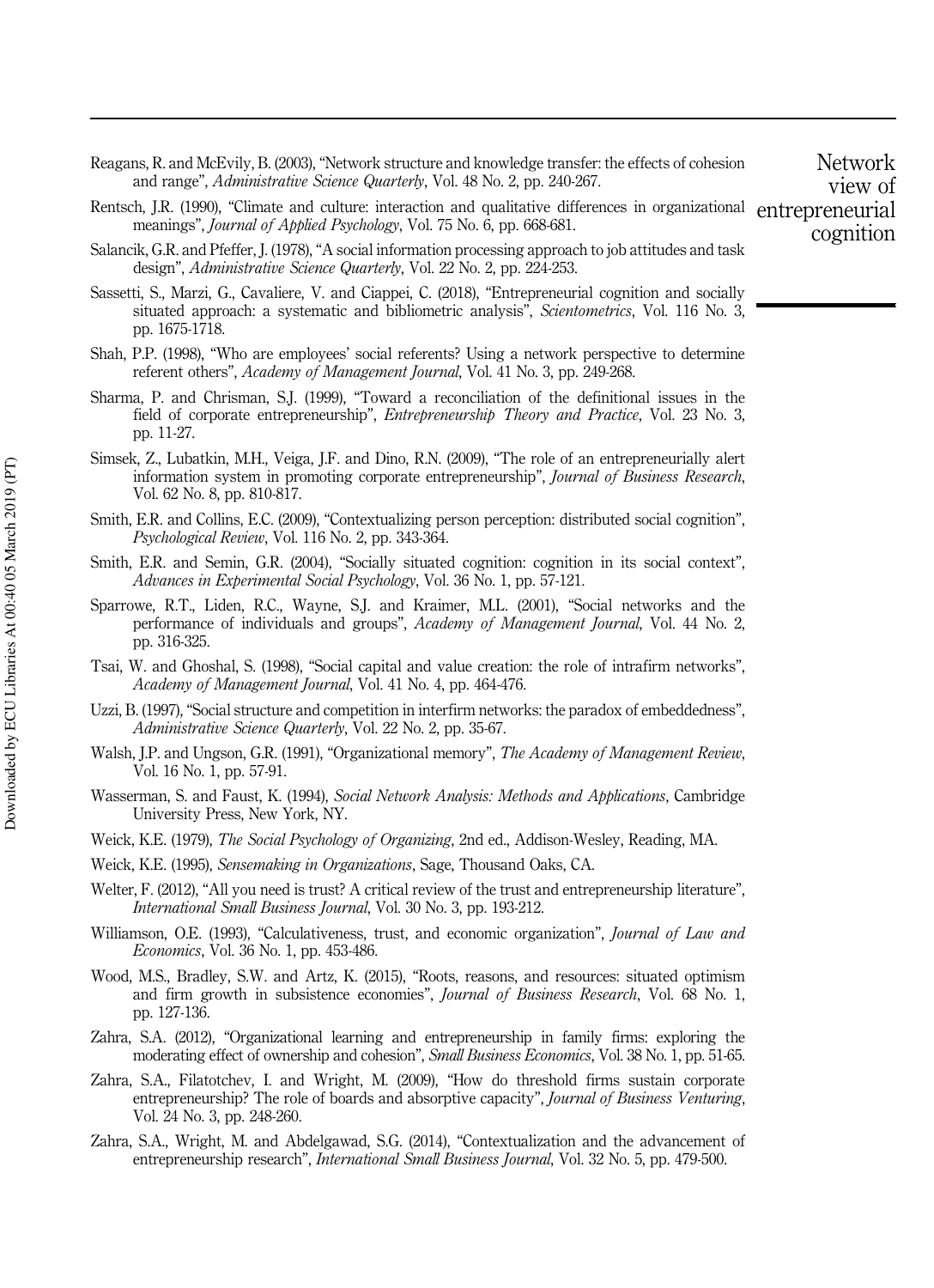- Reagans, R. and McEvily, B. (2003), "Network structure and knowledge transfer: the effects of cohesion and range", *Administrative Science Quarterly*, Vol. 48 No. 2, pp. 240-267.
- Rentsch, J.R. (1990), "Climate and culture: interaction and qualitative differences in organizational entrepreneurial meanings", *Journal of Applied Psychology*, Vol. 75 No. 6, pp. 668-681.
- Salancik, G.R. and Pfeffer, J. (1978), "A social information processing approach to job attitudes and task design", *Administrative Science Quarterly*, Vol. 22 No. 2, pp. 224-253.
- Sassetti, S., Marzi, G., Cavaliere, V. and Ciappei, C. (2018), "Entrepreneurial cognition and socially situated approach: a systematic and bibliometric analysis", *Scientometrics*, Vol. 116 No. 3, pp. 1675-1718.
- Shah, P.P. (1998), "Who are employees' social referents? Using a network perspective to determine referent others", *Academy of Management Journal*, Vol. 41 No. 3, pp. 249-268.
- Sharma, P. and Chrisman, S.J. (1999), "Toward a reconciliation of the definitional issues in the field of corporate entrepreneurship", *Entrepreneurship Theory and Practice*, Vol. 23 No. 3, pp. 11-27.
- Simsek, Z., Lubatkin, M.H., Veiga, J.F. and Dino, R.N. (2009), "The role of an entrepreneurially alert information system in promoting corporate entrepreneurship", *Journal of Business Research*, Vol. 62 No. 8, pp. 810-817.
- Smith, E.R. and Collins, E.C. (2009), "Contextualizing person perception: distributed social cognition", *Psychological Review*, Vol. 116 No. 2, pp. 343-364.
- Smith, E.R. and Semin, G.R. (2004), "Socially situated cognition: cognition in its social context", *Advances in Experimental Social Psychology*, Vol. 36 No. 1, pp. 57-121.
- Sparrowe, R.T., Liden, R.C., Wayne, S.J. and Kraimer, M.L. (2001), "Social networks and the performance of individuals and groups", *Academy of Management Journal*, Vol. 44 No. 2, pp. 316-325.
- Tsai, W. and Ghoshal, S. (1998), "Social capital and value creation: the role of intrafirm networks", *Academy of Management Journal*, Vol. 41 No. 4, pp. 464-476.
- Uzzi, B. (1997), "Social structure and competition in interfirm networks: the paradox of embeddedness", *Administrative Science Quarterly*, Vol. 22 No. 2, pp. 35-67.
- Walsh, J.P. and Ungson, G.R. (1991), "Organizational memory", *The Academy of Management Review*, Vol. 16 No. 1, pp. 57-91.
- Wasserman, S. and Faust, K. (1994), *Social Network Analysis: Methods and Applications*, Cambridge University Press, New York, NY.
- Weick, K.E. (1979), *The Social Psychology of Organizing*, 2nd ed., Addison-Wesley, Reading, MA.
- Weick, K.E. (1995), *Sensemaking in Organizations*, Sage, Thousand Oaks, CA.
- Welter, F. (2012), "All you need is trust? A critical review of the trust and entrepreneurship literature", *International Small Business Journal*, Vol. 30 No. 3, pp. 193-212.
- Williamson, O.E. (1993), "Calculativeness, trust, and economic organization", *Journal of Law and Economics*, Vol. 36 No. 1, pp. 453-486.
- Wood, M.S., Bradley, S.W. and Artz, K. (2015), "Roots, reasons, and resources: situated optimism and firm growth in subsistence economies", *Journal of Business Research*, Vol. 68 No. 1, pp. 127-136.
- Zahra, S.A. (2012), "Organizational learning and entrepreneurship in family firms: exploring the moderating effect of ownership and cohesion", *Small Business Economics*, Vol. 38 No. 1, pp. 51-65.
- Zahra, S.A., Filatotchev, I. and Wright, M. (2009), "How do threshold firms sustain corporate entrepreneurship? The role of boards and absorptive capacity", *Journal of Business Venturing*, Vol. 24 No. 3, pp. 248-260.
- Zahra, S.A., Wright, M. and Abdelgawad, S.G. (2014), "Contextualization and the advancement of entrepreneurship research", *International Small Business Journal*, Vol. 32 No. 5, pp. 479-500.

Network view of cognition